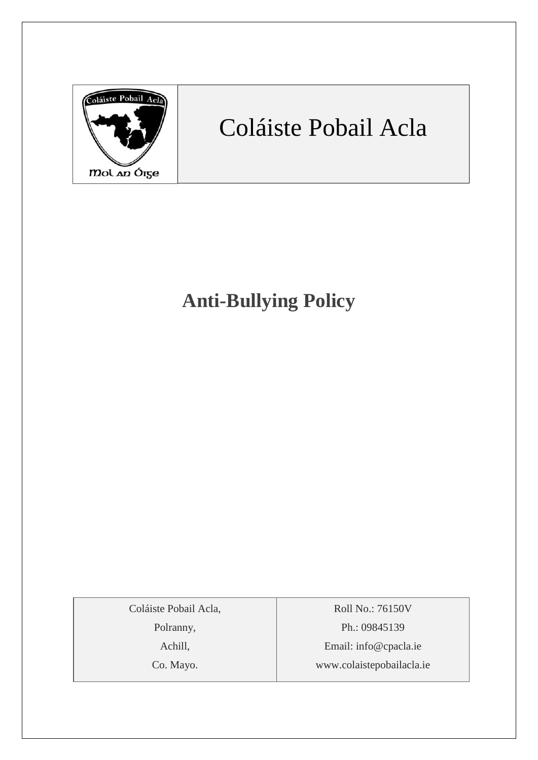

# Coláiste Pobail Acla

## **Anti-Bullying Policy**

Coláiste Pobail Acla,

Polranny,

Achill,

Co. Mayo.

Roll No.: 76150V Ph.: 09845139 Email: [info@cpacla.ie](mailto:info@cpacla.ie) www.colaistepobailacla.ie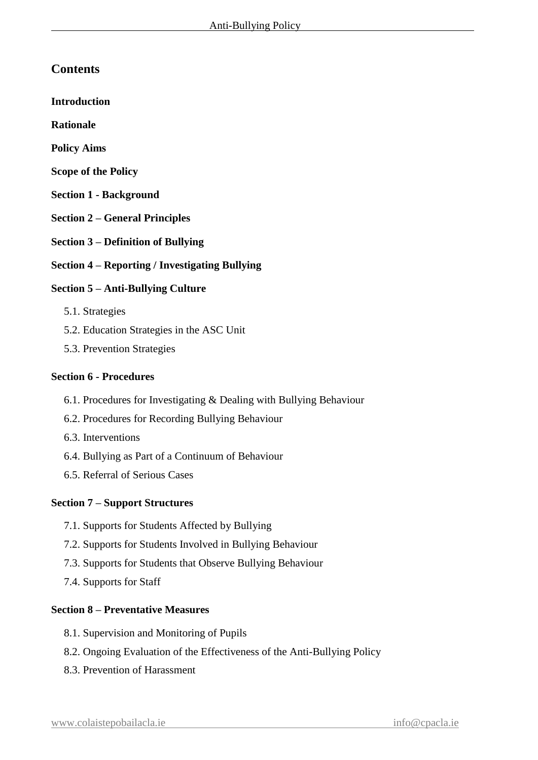## **Contents**

**Introduction**

**Rationale**

- **Policy Aims**
- **Scope of the Policy**
- **Section 1 - Background**
- **Section 2 – General Principles**
- **Section 3 – Definition of Bullying**
- **Section 4 – Reporting / Investigating Bullying**

### **Section 5 – Anti-Bullying Culture**

- 5.1. Strategies
- 5.2. Education Strategies in the ASC Unit
- 5.3. Prevention Strategies

#### **Section 6 - Procedures**

- 6.1. Procedures for Investigating & Dealing with Bullying Behaviour
- 6.2. Procedures for Recording Bullying Behaviour
- 6.3. Interventions
- 6.4. Bullying as Part of a Continuum of Behaviour
- 6.5. Referral of Serious Cases

#### **Section 7 – Support Structures**

- 7.1. Supports for Students Affected by Bullying
- 7.2. Supports for Students Involved in Bullying Behaviour
- 7.3. Supports for Students that Observe Bullying Behaviour
- 7.4. Supports for Staff

#### **Section 8 – Preventative Measures**

- 8.1. Supervision and Monitoring of Pupils
- 8.2. Ongoing Evaluation of the Effectiveness of the Anti-Bullying Policy
- 8.3. Prevention of Harassment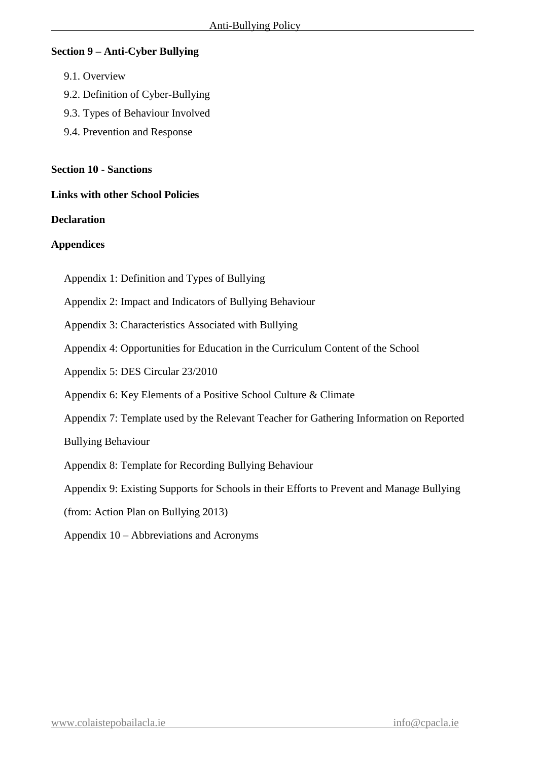#### **Section 9 – Anti-Cyber Bullying**

- 9.1. Overview
- 9.2. Definition of Cyber-Bullying
- 9.3. Types of Behaviour Involved
- 9.4. Prevention and Response

#### **Section 10 - Sanctions**

#### **Links with other School Policies**

#### **Declaration**

#### **Appendices**

- Appendix 1: Definition and Types of Bullying
- Appendix 2: Impact and Indicators of Bullying Behaviour
- Appendix 3: Characteristics Associated with Bullying
- Appendix 4: Opportunities for Education in the Curriculum Content of the School
- Appendix 5: DES Circular 23/2010
- Appendix 6: Key Elements of a Positive School Culture & Climate
- Appendix 7: Template used by the Relevant Teacher for Gathering Information on Reported

Bullying Behaviour

- Appendix 8: Template for Recording Bullying Behaviour
- Appendix 9: Existing Supports for Schools in their Efforts to Prevent and Manage Bullying
- (from: Action Plan on Bullying 2013)
- Appendix 10 Abbreviations and Acronyms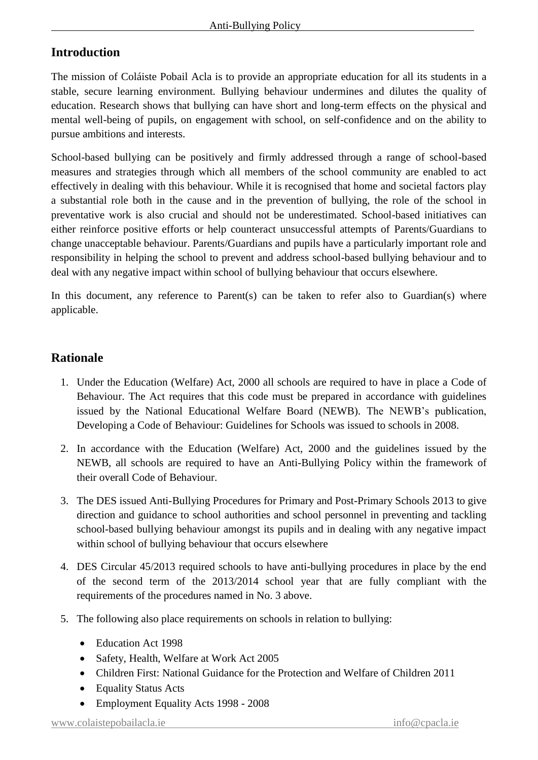## **Introduction**

The mission of Coláiste Pobail Acla is to provide an appropriate education for all its students in a stable, secure learning environment. Bullying behaviour undermines and dilutes the quality of education. Research shows that bullying can have short and long-term effects on the physical and mental well-being of pupils, on engagement with school, on self-confidence and on the ability to pursue ambitions and interests.

School-based bullying can be positively and firmly addressed through a range of school-based measures and strategies through which all members of the school community are enabled to act effectively in dealing with this behaviour. While it is recognised that home and societal factors play a substantial role both in the cause and in the prevention of bullying, the role of the school in preventative work is also crucial and should not be underestimated. School-based initiatives can either reinforce positive efforts or help counteract unsuccessful attempts of Parents/Guardians to change unacceptable behaviour. Parents/Guardians and pupils have a particularly important role and responsibility in helping the school to prevent and address school-based bullying behaviour and to deal with any negative impact within school of bullying behaviour that occurs elsewhere.

In this document, any reference to Parent(s) can be taken to refer also to Guardian(s) where applicable.

## **Rationale**

- 1. Under the Education (Welfare) Act, 2000 all schools are required to have in place a Code of Behaviour. The Act requires that this code must be prepared in accordance with guidelines issued by the National Educational Welfare Board (NEWB). The NEWB's publication, Developing a Code of Behaviour: Guidelines for Schools was issued to schools in 2008.
- 2. In accordance with the Education (Welfare) Act, 2000 and the guidelines issued by the NEWB, all schools are required to have an Anti-Bullying Policy within the framework of their overall Code of Behaviour.
- 3. The DES issued Anti-Bullying Procedures for Primary and Post-Primary Schools 2013 to give direction and guidance to school authorities and school personnel in preventing and tackling school-based bullying behaviour amongst its pupils and in dealing with any negative impact within school of bullying behaviour that occurs elsewhere
- 4. DES Circular 45/2013 required schools to have anti-bullying procedures in place by the end of the second term of the 2013/2014 school year that are fully compliant with the requirements of the procedures named in No. 3 above.
- 5. The following also place requirements on schools in relation to bullying:
	- Education Act 1998
	- Safety, Health, Welfare at Work Act 2005
	- Children First: National Guidance for the Protection and Welfare of Children 2011
	- Equality Status Acts
	- Employment Equality Acts 1998 2008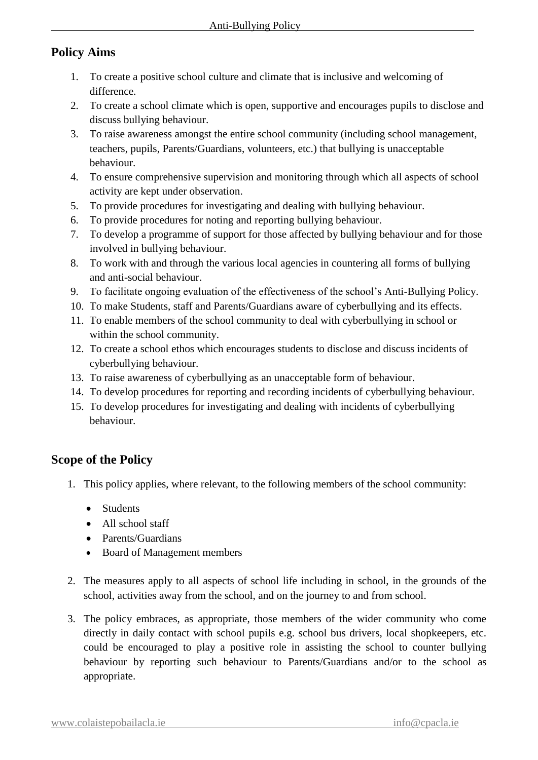## **Policy Aims**

- 1. To create a positive school culture and climate that is inclusive and welcoming of difference.
- 2. To create a school climate which is open, supportive and encourages pupils to disclose and discuss bullying behaviour.
- 3. To raise awareness amongst the entire school community (including school management, teachers, pupils, Parents/Guardians, volunteers, etc.) that bullying is unacceptable behaviour.
- 4. To ensure comprehensive supervision and monitoring through which all aspects of school activity are kept under observation.
- 5. To provide procedures for investigating and dealing with bullying behaviour.
- 6. To provide procedures for noting and reporting bullying behaviour.
- 7. To develop a programme of support for those affected by bullying behaviour and for those involved in bullying behaviour.
- 8. To work with and through the various local agencies in countering all forms of bullying and anti-social behaviour.
- 9. To facilitate ongoing evaluation of the effectiveness of the school's Anti-Bullying Policy.
- 10. To make Students, staff and Parents/Guardians aware of cyberbullying and its effects.
- 11. To enable members of the school community to deal with cyberbullying in school or within the school community.
- 12. To create a school ethos which encourages students to disclose and discuss incidents of cyberbullying behaviour.
- 13. To raise awareness of cyberbullying as an unacceptable form of behaviour.
- 14. To develop procedures for reporting and recording incidents of cyberbullying behaviour.
- 15. To develop procedures for investigating and dealing with incidents of cyberbullying behaviour.

## **Scope of the Policy**

- 1. This policy applies, where relevant, to the following members of the school community:
	- Students
	- All school staff
	- Parents/Guardians
	- Board of Management members
- 2. The measures apply to all aspects of school life including in school, in the grounds of the school, activities away from the school, and on the journey to and from school.
- 3. The policy embraces, as appropriate, those members of the wider community who come directly in daily contact with school pupils e.g. school bus drivers, local shopkeepers, etc. could be encouraged to play a positive role in assisting the school to counter bullying behaviour by reporting such behaviour to Parents/Guardians and/or to the school as appropriate.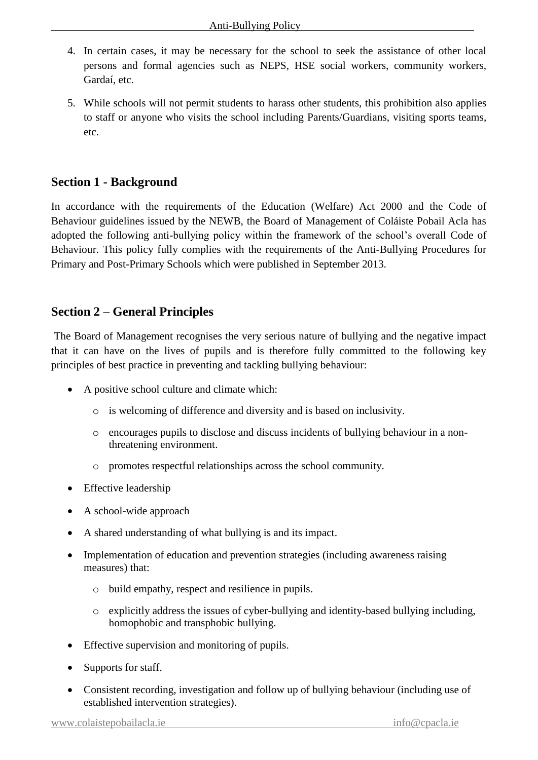- 4. In certain cases, it may be necessary for the school to seek the assistance of other local persons and formal agencies such as NEPS, HSE social workers, community workers, Gardaí, etc.
- 5. While schools will not permit students to harass other students, this prohibition also applies to staff or anyone who visits the school including Parents/Guardians, visiting sports teams, etc.

## **Section 1 - Background**

In accordance with the requirements of the Education (Welfare) Act 2000 and the Code of Behaviour guidelines issued by the NEWB, the Board of Management of Coláiste Pobail Acla has adopted the following anti-bullying policy within the framework of the school's overall Code of Behaviour. This policy fully complies with the requirements of the Anti-Bullying Procedures for Primary and Post-Primary Schools which were published in September 2013.

## **Section 2 – General Principles**

The Board of Management recognises the very serious nature of bullying and the negative impact that it can have on the lives of pupils and is therefore fully committed to the following key principles of best practice in preventing and tackling bullying behaviour:

- A positive school culture and climate which:
	- o is welcoming of difference and diversity and is based on inclusivity.
	- o encourages pupils to disclose and discuss incidents of bullying behaviour in a nonthreatening environment.
	- o promotes respectful relationships across the school community.
- Effective leadership
- A school-wide approach
- A shared understanding of what bullying is and its impact.
- Implementation of education and prevention strategies (including awareness raising measures) that:
	- o build empathy, respect and resilience in pupils.
	- o explicitly address the issues of cyber-bullying and identity-based bullying including, homophobic and transphobic bullying.
- Effective supervision and monitoring of pupils.
- Supports for staff.
- Consistent recording, investigation and follow up of bullying behaviour (including use of established intervention strategies).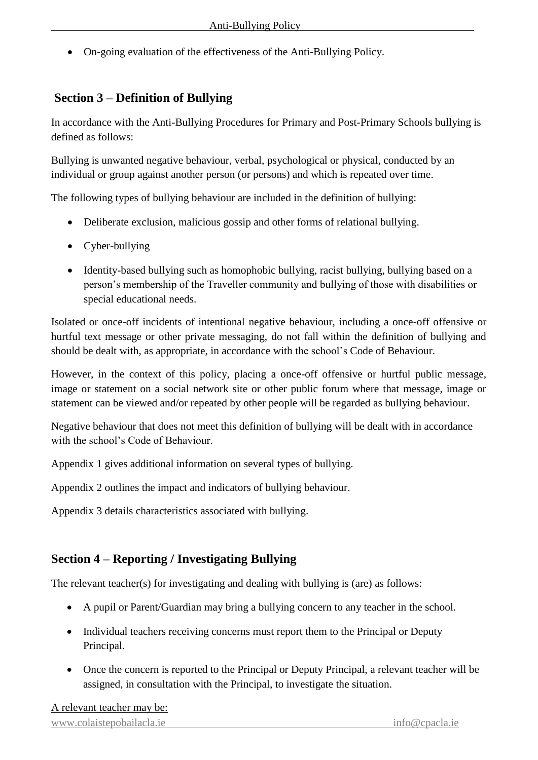On-going evaluation of the effectiveness of the Anti-Bullying Policy.

## **Section 3 – Definition of Bullying**

In accordance with the Anti-Bullying Procedures for Primary and Post-Primary Schools bullying is defined as follows:

Bullying is unwanted negative behaviour, verbal, psychological or physical, conducted by an individual or group against another person (or persons) and which is repeated over time.

The following types of bullying behaviour are included in the definition of bullying:

- Deliberate exclusion, malicious gossip and other forms of relational bullying.
- Cyber-bullying
- Identity-based bullying such as homophobic bullying, racist bullying, bullying based on a person's membership of the Traveller community and bullying of those with disabilities or special educational needs.

Isolated or once-off incidents of intentional negative behaviour, including a once-off offensive or hurtful text message or other private messaging, do not fall within the definition of bullying and should be dealt with, as appropriate, in accordance with the school's Code of Behaviour.

However, in the context of this policy, placing a once-off offensive or hurtful public message, image or statement on a social network site or other public forum where that message, image or statement can be viewed and/or repeated by other people will be regarded as bullying behaviour.

Negative behaviour that does not meet this definition of bullying will be dealt with in accordance with the school's Code of Behaviour.

Appendix 1 gives additional information on several types of bullying.

Appendix 2 outlines the impact and indicators of bullying behaviour.

Appendix 3 details characteristics associated with bullying.

## **Section 4 – Reporting / Investigating Bullying**

The relevant teacher(s) for investigating and dealing with bullying is (are) as follows:

- A pupil or Parent/Guardian may bring a bullying concern to any teacher in the school.
- Individual teachers receiving concerns must report them to the Principal or Deputy Principal.
- Once the concern is reported to the Principal or Deputy Principal, a relevant teacher will be assigned, in consultation with the Principal, to investigate the situation.

#### A relevant teacher may be: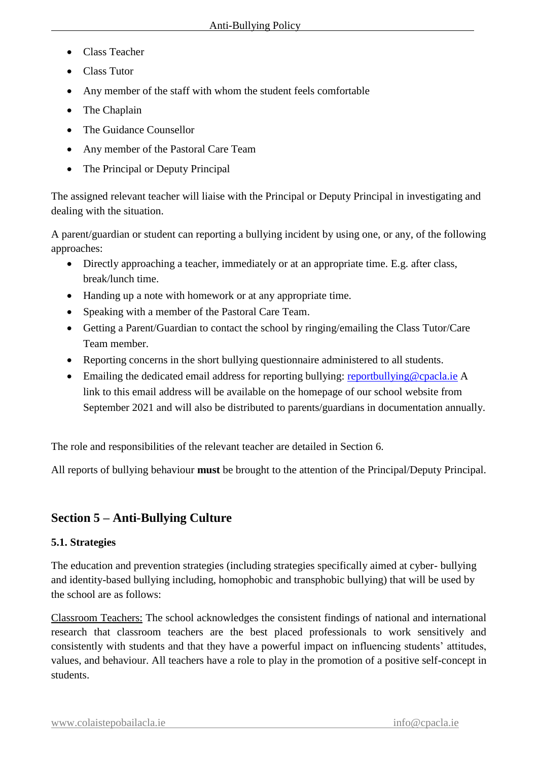- Class Teacher
- Class Tutor
- Any member of the staff with whom the student feels comfortable
- The Chaplain
- The Guidance Counsellor
- Any member of the Pastoral Care Team
- The Principal or Deputy Principal

The assigned relevant teacher will liaise with the Principal or Deputy Principal in investigating and dealing with the situation.

A parent/guardian or student can reporting a bullying incident by using one, or any, of the following approaches:

- Directly approaching a teacher, immediately or at an appropriate time. E.g. after class, break/lunch time.
- Handing up a note with homework or at any appropriate time.
- Speaking with a member of the Pastoral Care Team.
- Getting a Parent/Guardian to contact the school by ringing/emailing the Class Tutor/Care Team member.
- Reporting concerns in the short bullying questionnaire administered to all students.
- Emailing the dedicated email address for reporting bullying: [reportbullying@cpacla.ie](mailto:reportbullying@cpacla.ie) A link to this email address will be available on the homepage of our school website from September 2021 and will also be distributed to parents/guardians in documentation annually.

The role and responsibilities of the relevant teacher are detailed in Section 6.

All reports of bullying behaviour **must** be brought to the attention of the Principal/Deputy Principal.

## **Section 5 – Anti-Bullying Culture**

## **5.1. Strategies**

The education and prevention strategies (including strategies specifically aimed at cyber- bullying and identity-based bullying including, homophobic and transphobic bullying) that will be used by the school are as follows:

Classroom Teachers: The school acknowledges the consistent findings of national and international research that classroom teachers are the best placed professionals to work sensitively and consistently with students and that they have a powerful impact on influencing students' attitudes, values, and behaviour. All teachers have a role to play in the promotion of a positive self-concept in students.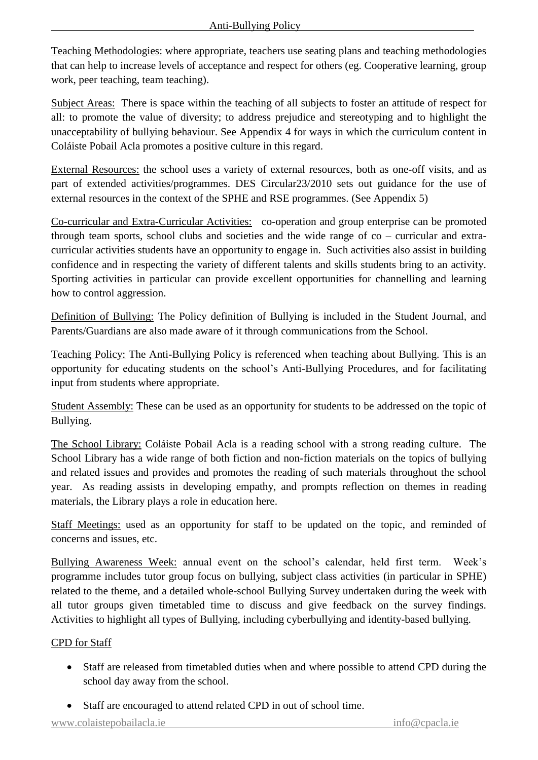Teaching Methodologies: where appropriate, teachers use seating plans and teaching methodologies that can help to increase levels of acceptance and respect for others (eg. Cooperative learning, group work, peer teaching, team teaching).

Subject Areas: There is space within the teaching of all subjects to foster an attitude of respect for all: to promote the value of diversity; to address prejudice and stereotyping and to highlight the unacceptability of bullying behaviour. See Appendix 4 for ways in which the curriculum content in Coláiste Pobail Acla promotes a positive culture in this regard.

External Resources: the school uses a variety of external resources, both as one-off visits, and as part of extended activities/programmes. DES Circular23/2010 sets out guidance for the use of external resources in the context of the SPHE and RSE programmes. (See Appendix 5)

Co-curricular and Extra-Curricular Activities: co-operation and group enterprise can be promoted through team sports, school clubs and societies and the wide range of co – curricular and extracurricular activities students have an opportunity to engage in. Such activities also assist in building confidence and in respecting the variety of different talents and skills students bring to an activity. Sporting activities in particular can provide excellent opportunities for channelling and learning how to control aggression.

Definition of Bullying: The Policy definition of Bullying is included in the Student Journal, and Parents/Guardians are also made aware of it through communications from the School.

Teaching Policy: The Anti-Bullying Policy is referenced when teaching about Bullying. This is an opportunity for educating students on the school's Anti-Bullying Procedures, and for facilitating input from students where appropriate.

Student Assembly: These can be used as an opportunity for students to be addressed on the topic of Bullying.

The School Library: Coláiste Pobail Acla is a reading school with a strong reading culture. The School Library has a wide range of both fiction and non-fiction materials on the topics of bullying and related issues and provides and promotes the reading of such materials throughout the school year. As reading assists in developing empathy, and prompts reflection on themes in reading materials, the Library plays a role in education here.

Staff Meetings: used as an opportunity for staff to be updated on the topic, and reminded of concerns and issues, etc.

Bullying Awareness Week: annual event on the school's calendar, held first term. Week's programme includes tutor group focus on bullying, subject class activities (in particular in SPHE) related to the theme, and a detailed whole-school Bullying Survey undertaken during the week with all tutor groups given timetabled time to discuss and give feedback on the survey findings. Activities to highlight all types of Bullying, including cyberbullying and identity-based bullying.

## CPD for Staff

- Staff are released from timetabled duties when and where possible to attend CPD during the school day away from the school.
- Staff are encouraged to attend related CPD in out of school time.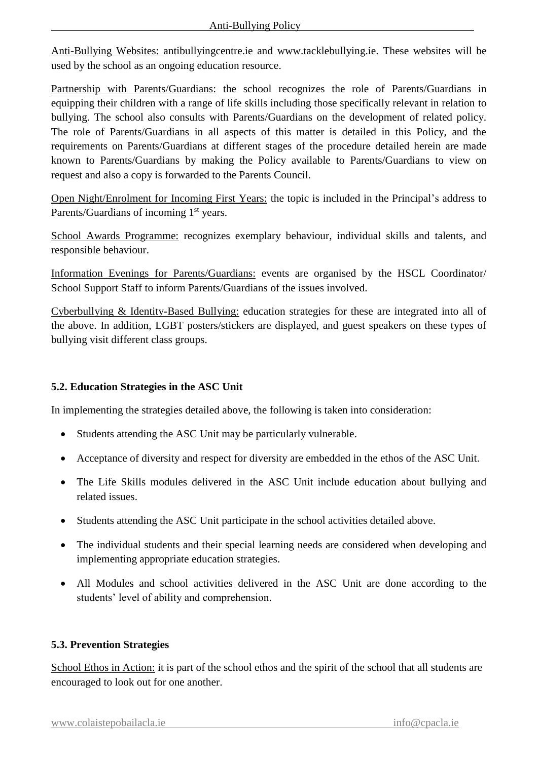Anti-Bullying Websites: antibullyingcentre.ie and www.tacklebullying.ie. These websites will be used by the school as an ongoing education resource.

Partnership with Parents/Guardians: the school recognizes the role of Parents/Guardians in equipping their children with a range of life skills including those specifically relevant in relation to bullying. The school also consults with Parents/Guardians on the development of related policy. The role of Parents/Guardians in all aspects of this matter is detailed in this Policy, and the requirements on Parents/Guardians at different stages of the procedure detailed herein are made known to Parents/Guardians by making the Policy available to Parents/Guardians to view on request and also a copy is forwarded to the Parents Council.

Open Night/Enrolment for Incoming First Years: the topic is included in the Principal's address to Parents/Guardians of incoming 1<sup>st</sup> years.

School Awards Programme: recognizes exemplary behaviour, individual skills and talents, and responsible behaviour.

Information Evenings for Parents/Guardians: events are organised by the HSCL Coordinator/ School Support Staff to inform Parents/Guardians of the issues involved.

Cyberbullying & Identity-Based Bullying: education strategies for these are integrated into all of the above. In addition, LGBT posters/stickers are displayed, and guest speakers on these types of bullying visit different class groups.

## **5.2. Education Strategies in the ASC Unit**

In implementing the strategies detailed above, the following is taken into consideration:

- Students attending the ASC Unit may be particularly vulnerable.
- Acceptance of diversity and respect for diversity are embedded in the ethos of the ASC Unit.
- The Life Skills modules delivered in the ASC Unit include education about bullying and related issues.
- Students attending the ASC Unit participate in the school activities detailed above.
- The individual students and their special learning needs are considered when developing and implementing appropriate education strategies.
- All Modules and school activities delivered in the ASC Unit are done according to the students' level of ability and comprehension.

#### **5.3. Prevention Strategies**

School Ethos in Action: it is part of the school ethos and the spirit of the school that all students are encouraged to look out for one another.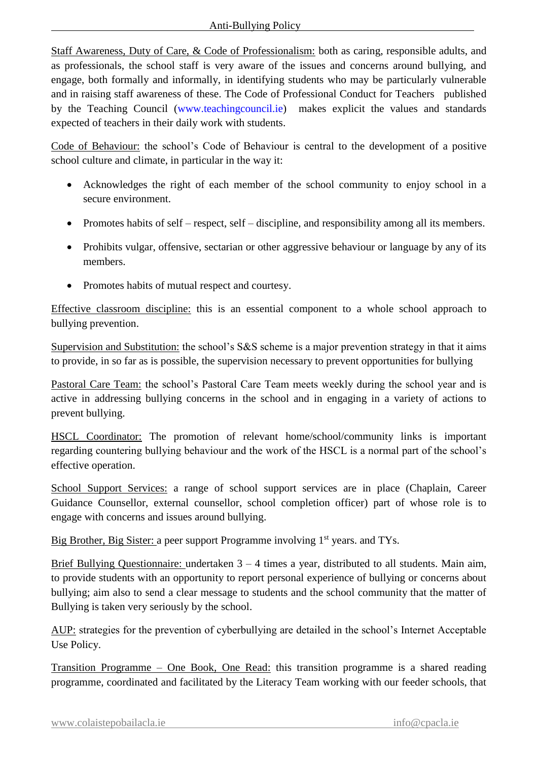Staff Awareness, Duty of Care, & Code of Professionalism: both as caring, responsible adults, and as professionals, the school staff is very aware of the issues and concerns around bullying, and engage, both formally and informally, in identifying students who may be particularly vulnerable and in raising staff awareness of these. The Code of Professional Conduct for Teachers published by the Teaching Council [\(www.teachingcouncil.ie\)](http://www.teachingcouncil.ie/) makes explicit the values and standards expected of teachers in their daily work with students.

Code of Behaviour: the school's Code of Behaviour is central to the development of a positive school culture and climate, in particular in the way it:

- Acknowledges the right of each member of the school community to enjoy school in a secure environment.
- Promotes habits of self respect, self discipline, and responsibility among all its members.
- Prohibits vulgar, offensive, sectarian or other aggressive behaviour or language by any of its members.
- Promotes habits of mutual respect and courtesy.

Effective classroom discipline: this is an essential component to a whole school approach to bullying prevention.

Supervision and Substitution: the school's S&S scheme is a major prevention strategy in that it aims to provide, in so far as is possible, the supervision necessary to prevent opportunities for bullying

Pastoral Care Team: the school's Pastoral Care Team meets weekly during the school year and is active in addressing bullying concerns in the school and in engaging in a variety of actions to prevent bullying.

HSCL Coordinator: The promotion of relevant home/school/community links is important regarding countering bullying behaviour and the work of the HSCL is a normal part of the school's effective operation.

School Support Services: a range of school support services are in place (Chaplain, Career Guidance Counsellor, external counsellor, school completion officer) part of whose role is to engage with concerns and issues around bullying.

Big Brother, Big Sister: a peer support Programme involving 1<sup>st</sup> years. and TYs.

Brief Bullying Questionnaire: undertaken 3 – 4 times a year, distributed to all students. Main aim, to provide students with an opportunity to report personal experience of bullying or concerns about bullying; aim also to send a clear message to students and the school community that the matter of Bullying is taken very seriously by the school.

AUP: strategies for the prevention of cyberbullying are detailed in the school's Internet Acceptable Use Policy.

Transition Programme – One Book, One Read: this transition programme is a shared reading programme, coordinated and facilitated by the Literacy Team working with our feeder schools, that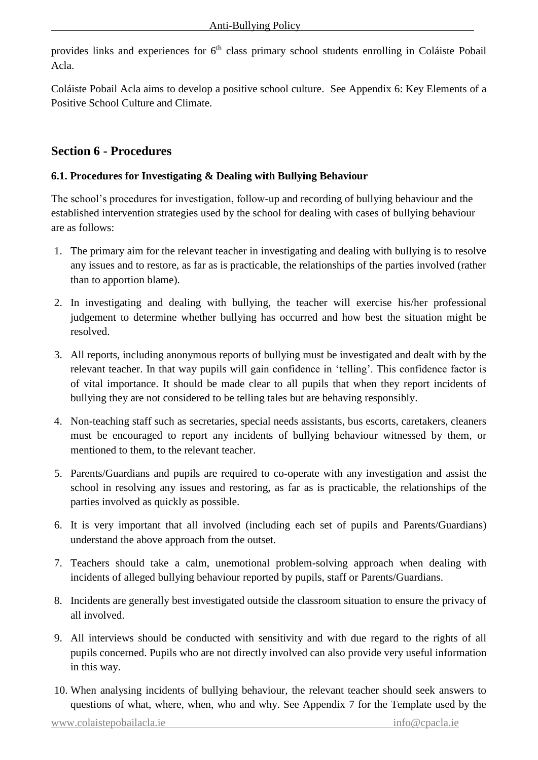provides links and experiences for  $6<sup>th</sup>$  class primary school students enrolling in Coláiste Pobail Acla.

Coláiste Pobail Acla aims to develop a positive school culture. See Appendix 6: Key Elements of a Positive School Culture and Climate.

## **Section 6 - Procedures**

### **6.1. Procedures for Investigating & Dealing with Bullying Behaviour**

The school's procedures for investigation, follow-up and recording of bullying behaviour and the established intervention strategies used by the school for dealing with cases of bullying behaviour are as follows:

- 1. The primary aim for the relevant teacher in investigating and dealing with bullying is to resolve any issues and to restore, as far as is practicable, the relationships of the parties involved (rather than to apportion blame).
- 2. In investigating and dealing with bullying, the teacher will exercise his/her professional judgement to determine whether bullying has occurred and how best the situation might be resolved.
- 3. All reports, including anonymous reports of bullying must be investigated and dealt with by the relevant teacher. In that way pupils will gain confidence in 'telling'. This confidence factor is of vital importance. It should be made clear to all pupils that when they report incidents of bullying they are not considered to be telling tales but are behaving responsibly.
- 4. Non-teaching staff such as secretaries, special needs assistants, bus escorts, caretakers, cleaners must be encouraged to report any incidents of bullying behaviour witnessed by them, or mentioned to them, to the relevant teacher.
- 5. Parents/Guardians and pupils are required to co-operate with any investigation and assist the school in resolving any issues and restoring, as far as is practicable, the relationships of the parties involved as quickly as possible.
- 6. It is very important that all involved (including each set of pupils and Parents/Guardians) understand the above approach from the outset.
- 7. Teachers should take a calm, unemotional problem-solving approach when dealing with incidents of alleged bullying behaviour reported by pupils, staff or Parents/Guardians.
- 8. Incidents are generally best investigated outside the classroom situation to ensure the privacy of all involved.
- 9. All interviews should be conducted with sensitivity and with due regard to the rights of all pupils concerned. Pupils who are not directly involved can also provide very useful information in this way.
- 10. When analysing incidents of bullying behaviour, the relevant teacher should seek answers to questions of what, where, when, who and why. See Appendix 7 for the Template used by the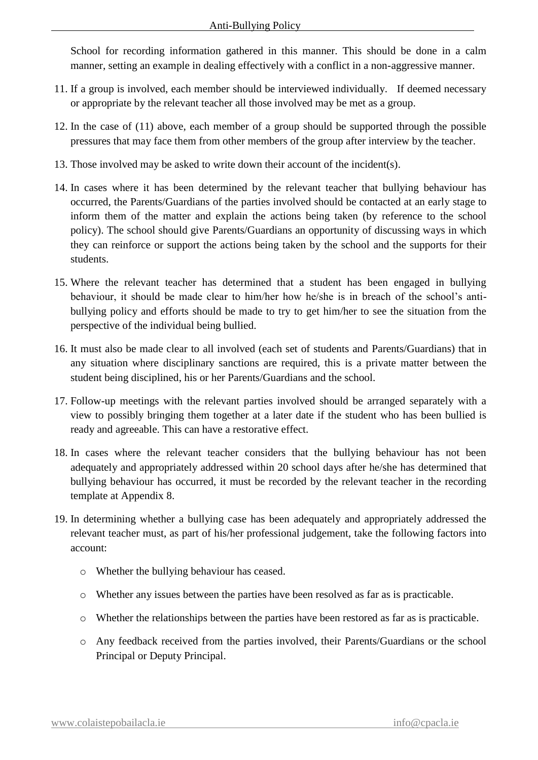School for recording information gathered in this manner. This should be done in a calm manner, setting an example in dealing effectively with a conflict in a non-aggressive manner.

- 11. If a group is involved, each member should be interviewed individually. If deemed necessary or appropriate by the relevant teacher all those involved may be met as a group.
- 12. In the case of (11) above, each member of a group should be supported through the possible pressures that may face them from other members of the group after interview by the teacher.
- 13. Those involved may be asked to write down their account of the incident(s).
- 14. In cases where it has been determined by the relevant teacher that bullying behaviour has occurred, the Parents/Guardians of the parties involved should be contacted at an early stage to inform them of the matter and explain the actions being taken (by reference to the school policy). The school should give Parents/Guardians an opportunity of discussing ways in which they can reinforce or support the actions being taken by the school and the supports for their students.
- 15. Where the relevant teacher has determined that a student has been engaged in bullying behaviour, it should be made clear to him/her how he/she is in breach of the school's antibullying policy and efforts should be made to try to get him/her to see the situation from the perspective of the individual being bullied.
- 16. It must also be made clear to all involved (each set of students and Parents/Guardians) that in any situation where disciplinary sanctions are required, this is a private matter between the student being disciplined, his or her Parents/Guardians and the school.
- 17. Follow-up meetings with the relevant parties involved should be arranged separately with a view to possibly bringing them together at a later date if the student who has been bullied is ready and agreeable. This can have a restorative effect.
- 18. In cases where the relevant teacher considers that the bullying behaviour has not been adequately and appropriately addressed within 20 school days after he/she has determined that bullying behaviour has occurred, it must be recorded by the relevant teacher in the recording template at Appendix 8.
- 19. In determining whether a bullying case has been adequately and appropriately addressed the relevant teacher must, as part of his/her professional judgement, take the following factors into account:
	- o Whether the bullying behaviour has ceased.
	- o Whether any issues between the parties have been resolved as far as is practicable.
	- o Whether the relationships between the parties have been restored as far as is practicable.
	- o Any feedback received from the parties involved, their Parents/Guardians or the school Principal or Deputy Principal.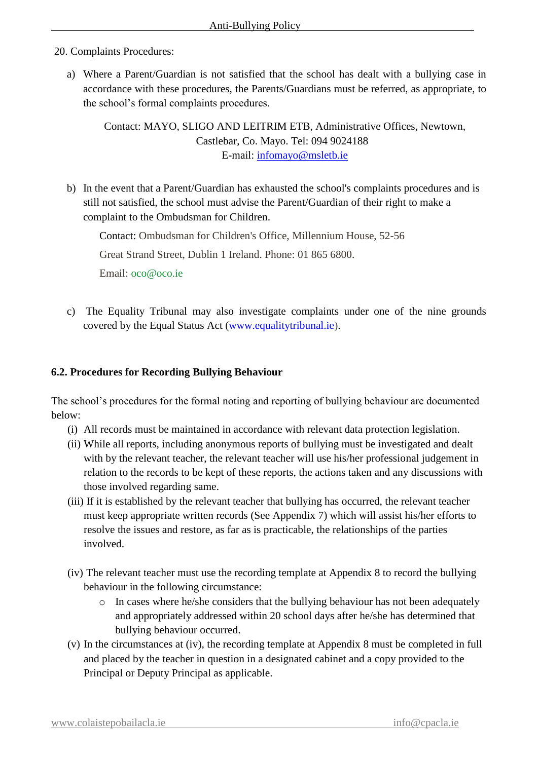20. Complaints Procedures:

a) Where a Parent/Guardian is not satisfied that the school has dealt with a bullying case in accordance with these procedures, the Parents/Guardians must be referred, as appropriate, to the school's formal complaints procedures.

Contact: MAYO, SLIGO AND LEITRIM ETB, Administrative Offices, Newtown, Castlebar, Co. Mayo. Tel: 094 9024188 E-mail: [infomayo@msletb.ie](mailto:infomayo@msletb.ie)

b) In the event that a Parent/Guardian has exhausted the school's complaints procedures and is still not satisfied, the school must advise the Parent/Guardian of their right to make a complaint to the Ombudsman for Children.

Contact: Ombudsman for Children's Office, Millennium House, 52-56

Great Strand Street, Dublin 1 Ireland. Phone: 01 865 6800.

Email: [oco@oco.ie](mailto:oco@oco.ie)

c) The Equality Tribunal may also investigate complaints under one of the nine grounds covered by the Equal Status Act [\(www.equalitytribunal.ie\)](http://www.equalitytribunal.ie/).

#### **6.2. Procedures for Recording Bullying Behaviour**

The school's procedures for the formal noting and reporting of bullying behaviour are documented below:

- (i) All records must be maintained in accordance with relevant data protection legislation.
- (ii) While all reports, including anonymous reports of bullying must be investigated and dealt with by the relevant teacher, the relevant teacher will use his/her professional judgement in relation to the records to be kept of these reports, the actions taken and any discussions with those involved regarding same.
- (iii) If it is established by the relevant teacher that bullying has occurred, the relevant teacher must keep appropriate written records (See Appendix 7) which will assist his/her efforts to resolve the issues and restore, as far as is practicable, the relationships of the parties involved.
- (iv) The relevant teacher must use the recording template at Appendix 8 to record the bullying behaviour in the following circumstance:
	- o In cases where he/she considers that the bullying behaviour has not been adequately and appropriately addressed within 20 school days after he/she has determined that bullying behaviour occurred.
- (v) In the circumstances at (iv), the recording template at Appendix 8 must be completed in full and placed by the teacher in question in a designated cabinet and a copy provided to the Principal or Deputy Principal as applicable.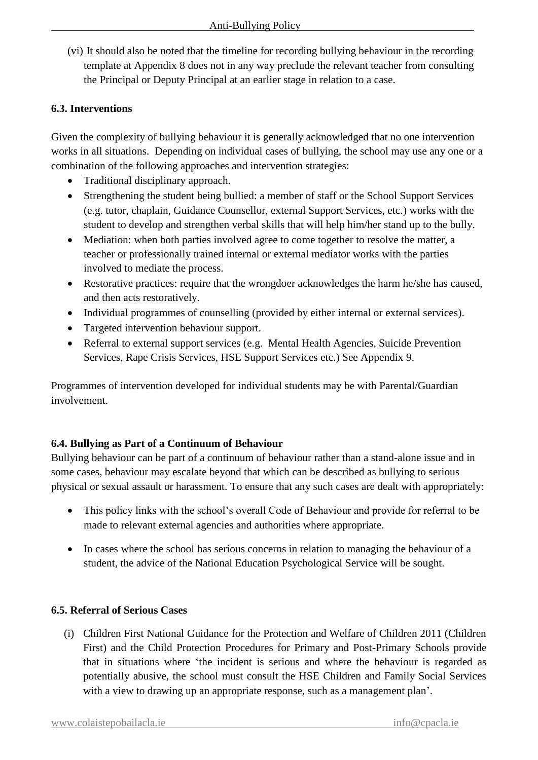(vi) It should also be noted that the timeline for recording bullying behaviour in the recording template at Appendix 8 does not in any way preclude the relevant teacher from consulting the Principal or Deputy Principal at an earlier stage in relation to a case.

## **6.3. Interventions**

Given the complexity of bullying behaviour it is generally acknowledged that no one intervention works in all situations. Depending on individual cases of bullying, the school may use any one or a combination of the following approaches and intervention strategies:

- Traditional disciplinary approach.
- Strengthening the student being bullied: a member of staff or the School Support Services (e.g. tutor, chaplain, Guidance Counsellor, external Support Services, etc.) works with the student to develop and strengthen verbal skills that will help him/her stand up to the bully.
- Mediation: when both parties involved agree to come together to resolve the matter, a teacher or professionally trained internal or external mediator works with the parties involved to mediate the process.
- Restorative practices: require that the wrongdoer acknowledges the harm he/she has caused, and then acts restoratively.
- Individual programmes of counselling (provided by either internal or external services).
- Targeted intervention behaviour support.
- Referral to external support services (e.g. Mental Health Agencies, Suicide Prevention Services, Rape Crisis Services, HSE Support Services etc.) See Appendix 9.

Programmes of intervention developed for individual students may be with Parental/Guardian involvement.

## **6.4. Bullying as Part of a Continuum of Behaviour**

Bullying behaviour can be part of a continuum of behaviour rather than a stand-alone issue and in some cases, behaviour may escalate beyond that which can be described as bullying to serious physical or sexual assault or harassment. To ensure that any such cases are dealt with appropriately:

- This policy links with the school's overall Code of Behaviour and provide for referral to be made to relevant external agencies and authorities where appropriate.
- In cases where the school has serious concerns in relation to managing the behaviour of a student, the advice of the National Education Psychological Service will be sought.

## **6.5. Referral of Serious Cases**

(i) Children First National Guidance for the Protection and Welfare of Children 2011 (Children First) and the Child Protection Procedures for Primary and Post-Primary Schools provide that in situations where 'the incident is serious and where the behaviour is regarded as potentially abusive, the school must consult the HSE Children and Family Social Services with a view to drawing up an appropriate response, such as a management plan'.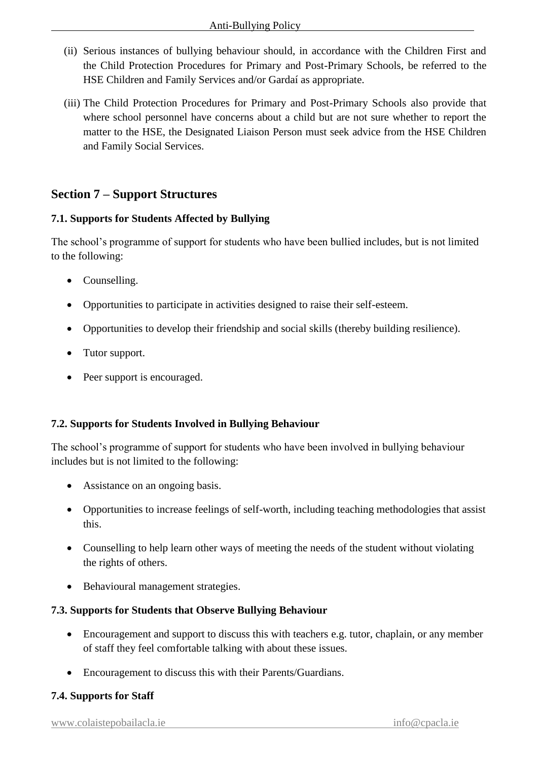- (ii) Serious instances of bullying behaviour should, in accordance with the Children First and the Child Protection Procedures for Primary and Post-Primary Schools, be referred to the HSE Children and Family Services and/or Gardaí as appropriate.
- (iii) The Child Protection Procedures for Primary and Post-Primary Schools also provide that where school personnel have concerns about a child but are not sure whether to report the matter to the HSE, the Designated Liaison Person must seek advice from the HSE Children and Family Social Services.

## **Section 7 – Support Structures**

### **7.1. Supports for Students Affected by Bullying**

The school's programme of support for students who have been bullied includes, but is not limited to the following:

- Counselling.
- Opportunities to participate in activities designed to raise their self-esteem.
- Opportunities to develop their friendship and social skills (thereby building resilience).
- Tutor support.
- Peer support is encouraged.

#### **7.2. Supports for Students Involved in Bullying Behaviour**

The school's programme of support for students who have been involved in bullying behaviour includes but is not limited to the following:

- Assistance on an ongoing basis.
- Opportunities to increase feelings of self-worth, including teaching methodologies that assist this.
- Counselling to help learn other ways of meeting the needs of the student without violating the rights of others.
- Behavioural management strategies.

#### **7.3. Supports for Students that Observe Bullying Behaviour**

- Encouragement and support to discuss this with teachers e.g. tutor, chaplain, or any member of staff they feel comfortable talking with about these issues.
- Encouragement to discuss this with their Parents/Guardians.

#### **7.4. Supports for Staff**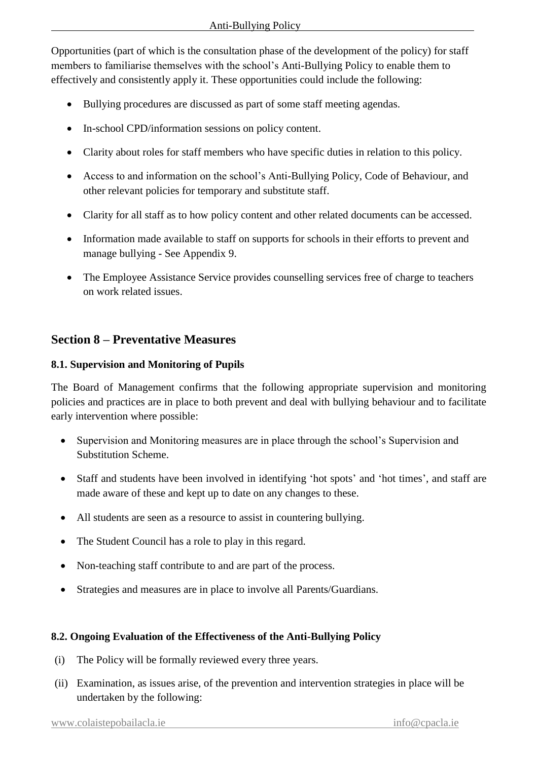Opportunities (part of which is the consultation phase of the development of the policy) for staff members to familiarise themselves with the school's Anti-Bullying Policy to enable them to effectively and consistently apply it. These opportunities could include the following:

- Bullying procedures are discussed as part of some staff meeting agendas.
- In-school CPD/information sessions on policy content.
- Clarity about roles for staff members who have specific duties in relation to this policy.
- Access to and information on the school's Anti-Bullying Policy, Code of Behaviour, and other relevant policies for temporary and substitute staff.
- Clarity for all staff as to how policy content and other related documents can be accessed.
- Information made available to staff on supports for schools in their efforts to prevent and manage bullying - See Appendix 9.
- The Employee Assistance Service provides counselling services free of charge to teachers on work related issues.

## **Section 8 – Preventative Measures**

### **8.1. Supervision and Monitoring of Pupils**

The Board of Management confirms that the following appropriate supervision and monitoring policies and practices are in place to both prevent and deal with bullying behaviour and to facilitate early intervention where possible:

- Supervision and Monitoring measures are in place through the school's Supervision and Substitution Scheme.
- Staff and students have been involved in identifying 'hot spots' and 'hot times', and staff are made aware of these and kept up to date on any changes to these.
- All students are seen as a resource to assist in countering bullying.
- The Student Council has a role to play in this regard.
- Non-teaching staff contribute to and are part of the process.
- Strategies and measures are in place to involve all Parents/Guardians.

## **8.2. Ongoing Evaluation of the Effectiveness of the Anti-Bullying Policy**

- (i) The Policy will be formally reviewed every three years.
- (ii) Examination, as issues arise, of the prevention and intervention strategies in place will be undertaken by the following: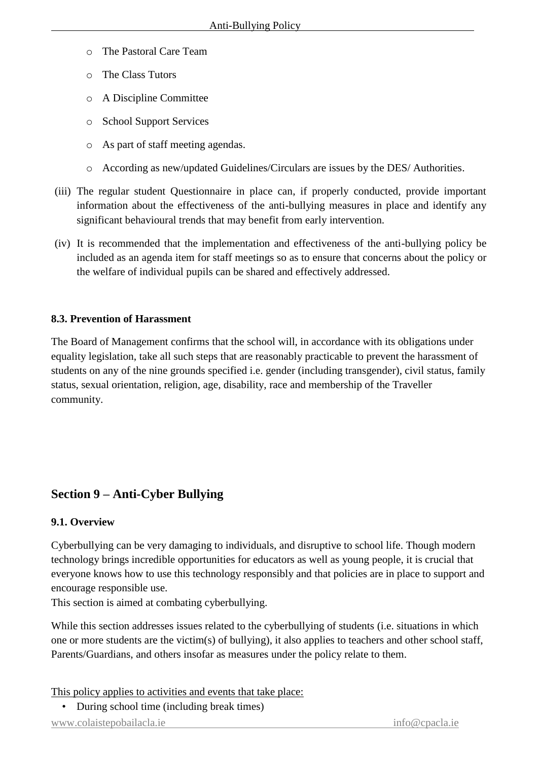- o The Pastoral Care Team
- o The Class Tutors
- o A Discipline Committee
- o School Support Services
- o As part of staff meeting agendas.
- o According as new/updated Guidelines/Circulars are issues by the DES/ Authorities.
- (iii) The regular student Questionnaire in place can, if properly conducted, provide important information about the effectiveness of the anti-bullying measures in place and identify any significant behavioural trends that may benefit from early intervention.
- (iv) It is recommended that the implementation and effectiveness of the anti-bullying policy be included as an agenda item for staff meetings so as to ensure that concerns about the policy or the welfare of individual pupils can be shared and effectively addressed.

## **8.3. Prevention of Harassment**

The Board of Management confirms that the school will, in accordance with its obligations under equality legislation, take all such steps that are reasonably practicable to prevent the harassment of students on any of the nine grounds specified i.e. gender (including transgender), civil status, family status, sexual orientation, religion, age, disability, race and membership of the Traveller community.

## **Section 9 – Anti-Cyber Bullying**

## **9.1. Overview**

Cyberbullying can be very damaging to individuals, and disruptive to school life. Though modern technology brings incredible opportunities for educators as well as young people, it is crucial that everyone knows how to use this technology responsibly and that policies are in place to support and encourage responsible use.

This section is aimed at combating cyberbullying.

While this section addresses issues related to the cyberbullying of students (i.e. situations in which one or more students are the victim(s) of bullying), it also applies to teachers and other school staff, Parents/Guardians, and others insofar as measures under the policy relate to them.

This policy applies to activities and events that take place:

• During school time (including break times)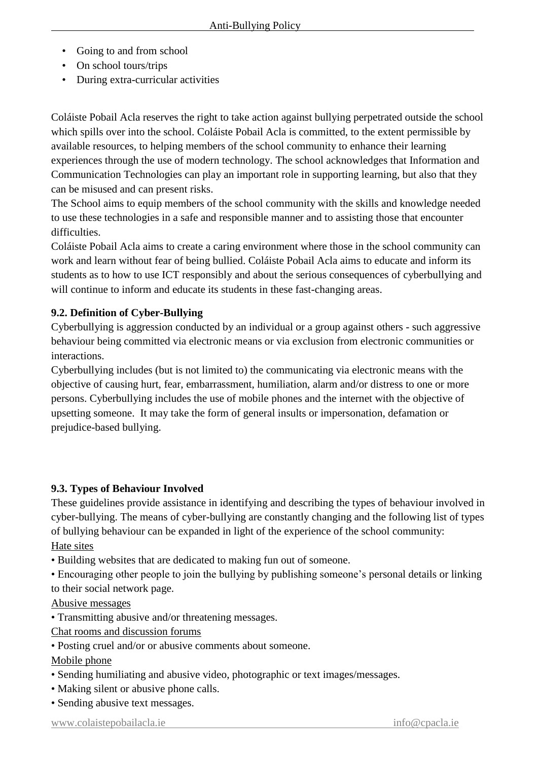- Going to and from school
- On school tours/trips
- During extra-curricular activities

Coláiste Pobail Acla reserves the right to take action against bullying perpetrated outside the school which spills over into the school. Coláiste Pobail Acla is committed, to the extent permissible by available resources, to helping members of the school community to enhance their learning experiences through the use of modern technology. The school acknowledges that Information and Communication Technologies can play an important role in supporting learning, but also that they can be misused and can present risks.

The School aims to equip members of the school community with the skills and knowledge needed to use these technologies in a safe and responsible manner and to assisting those that encounter difficulties.

Coláiste Pobail Acla aims to create a caring environment where those in the school community can work and learn without fear of being bullied. Coláiste Pobail Acla aims to educate and inform its students as to how to use ICT responsibly and about the serious consequences of cyberbullying and will continue to inform and educate its students in these fast-changing areas.

## **9.2. Definition of Cyber-Bullying**

Cyberbullying is aggression conducted by an individual or a group against others - such aggressive behaviour being committed via electronic means or via exclusion from electronic communities or interactions.

Cyberbullying includes (but is not limited to) the communicating via electronic means with the objective of causing hurt, fear, embarrassment, humiliation, alarm and/or distress to one or more persons. Cyberbullying includes the use of mobile phones and the internet with the objective of upsetting someone. It may take the form of general insults or impersonation, defamation or prejudice-based bullying.

#### **9.3. Types of Behaviour Involved**

These guidelines provide assistance in identifying and describing the types of behaviour involved in cyber-bullying. The means of cyber-bullying are constantly changing and the following list of types of bullying behaviour can be expanded in light of the experience of the school community: Hate sites

• Building websites that are dedicated to making fun out of someone.

• Encouraging other people to join the bullying by publishing someone's personal details or linking to their social network page.

#### Abusive messages

• Transmitting abusive and/or threatening messages.

Chat rooms and discussion forums

• Posting cruel and/or or abusive comments about someone.

Mobile phone

- Sending humiliating and abusive video, photographic or text images/messages.
- Making silent or abusive phone calls.
- Sending abusive text messages.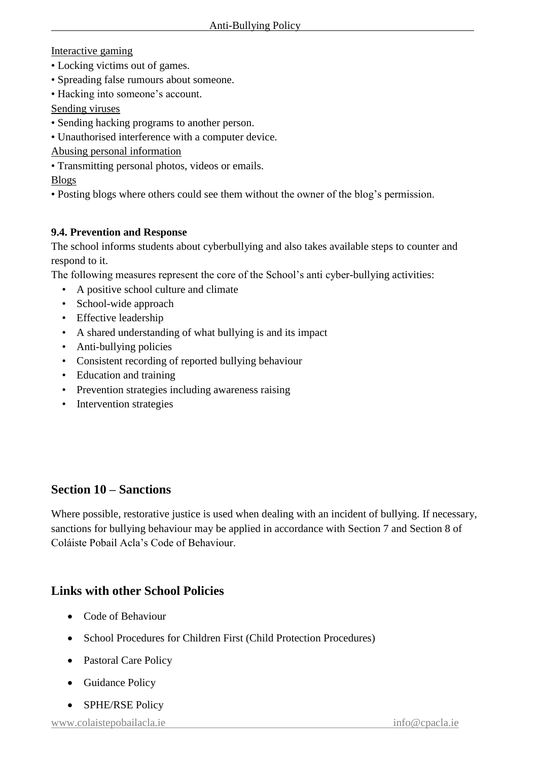Interactive gaming

- Locking victims out of games.
- Spreading false rumours about someone.
- Hacking into someone's account.
- Sending viruses
- Sending hacking programs to another person.
- Unauthorised interference with a computer device.

Abusing personal information

• Transmitting personal photos, videos or emails.

Blogs

• Posting blogs where others could see them without the owner of the blog's permission.

## **9.4. Prevention and Response**

The school informs students about cyberbullying and also takes available steps to counter and respond to it.

The following measures represent the core of the School's anti cyber-bullying activities:

- A positive school culture and climate
- School-wide approach
- Effective leadership
- A shared understanding of what bullying is and its impact
- Anti-bullying policies
- Consistent recording of reported bullying behaviour
- Education and training
- Prevention strategies including awareness raising
- Intervention strategies

## **Section 10 – Sanctions**

Where possible, restorative justice is used when dealing with an incident of bullying. If necessary, sanctions for bullying behaviour may be applied in accordance with Section 7 and Section 8 of Coláiste Pobail Acla's Code of Behaviour.

## **Links with other School Policies**

- Code of Behaviour
- School Procedures for Children First (Child Protection Procedures)
- Pastoral Care Policy
- Guidance Policy
- SPHE/RSE Policy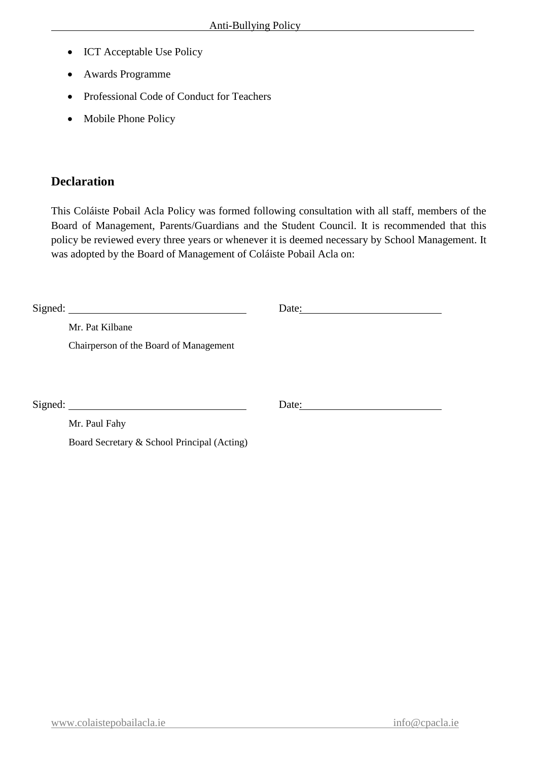- ICT Acceptable Use Policy
- Awards Programme
- Professional Code of Conduct for Teachers
- Mobile Phone Policy

## **Declaration**

This Coláiste Pobail Acla Policy was formed following consultation with all staff, members of the Board of Management, Parents/Guardians and the Student Council. It is recommended that this policy be reviewed every three years or whenever it is deemed necessary by School Management. It was adopted by the Board of Management of Coláiste Pobail Acla on:

|                                             | Date: |
|---------------------------------------------|-------|
| Mr. Pat Kilbane                             |       |
| Chairperson of the Board of Management      |       |
|                                             |       |
|                                             |       |
| Signed:                                     | Date: |
| Mr. Paul Fahy                               |       |
| Board Secretary & School Principal (Acting) |       |
|                                             |       |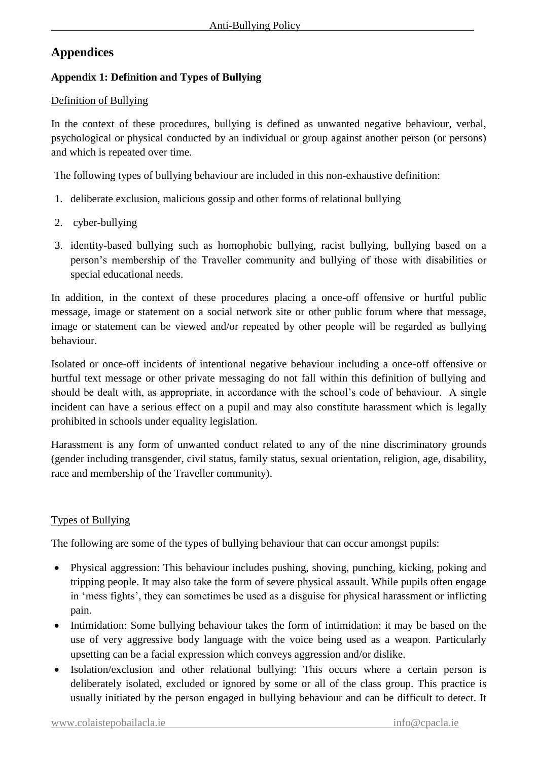## **Appendices**

## **Appendix 1: Definition and Types of Bullying**

## Definition of Bullying

In the context of these procedures, bullying is defined as unwanted negative behaviour, verbal, psychological or physical conducted by an individual or group against another person (or persons) and which is repeated over time.

The following types of bullying behaviour are included in this non-exhaustive definition:

- 1. deliberate exclusion, malicious gossip and other forms of relational bullying
- 2. cyber-bullying
- 3. identity-based bullying such as homophobic bullying, racist bullying, bullying based on a person's membership of the Traveller community and bullying of those with disabilities or special educational needs.

In addition, in the context of these procedures placing a once-off offensive or hurtful public message, image or statement on a social network site or other public forum where that message, image or statement can be viewed and/or repeated by other people will be regarded as bullying behaviour.

Isolated or once-off incidents of intentional negative behaviour including a once-off offensive or hurtful text message or other private messaging do not fall within this definition of bullying and should be dealt with, as appropriate, in accordance with the school's code of behaviour. A single incident can have a serious effect on a pupil and may also constitute harassment which is legally prohibited in schools under equality legislation.

Harassment is any form of unwanted conduct related to any of the nine discriminatory grounds (gender including transgender, civil status, family status, sexual orientation, religion, age, disability, race and membership of the Traveller community).

## Types of Bullying

The following are some of the types of bullying behaviour that can occur amongst pupils:

- Physical aggression: This behaviour includes pushing, shoving, punching, kicking, poking and tripping people. It may also take the form of severe physical assault. While pupils often engage in 'mess fights', they can sometimes be used as a disguise for physical harassment or inflicting pain.
- Intimidation: Some bullying behaviour takes the form of intimidation: it may be based on the use of very aggressive body language with the voice being used as a weapon. Particularly upsetting can be a facial expression which conveys aggression and/or dislike.
- Isolation/exclusion and other relational bullying: This occurs where a certain person is deliberately isolated, excluded or ignored by some or all of the class group. This practice is usually initiated by the person engaged in bullying behaviour and can be difficult to detect. It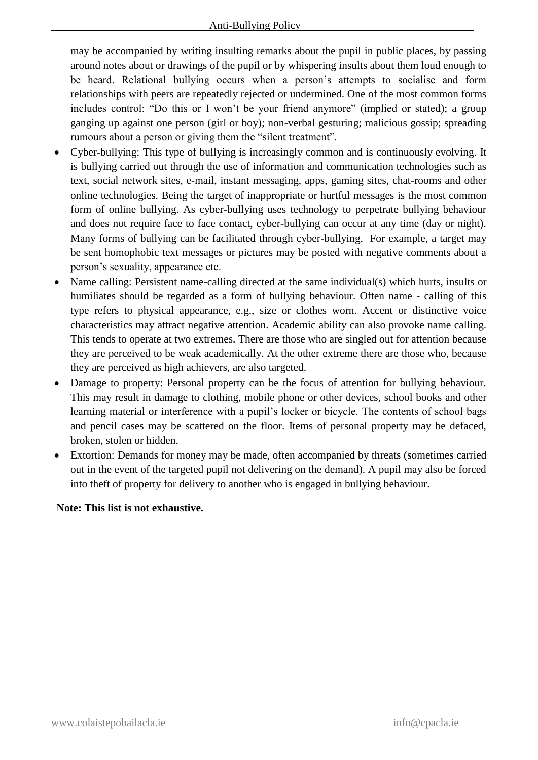may be accompanied by writing insulting remarks about the pupil in public places, by passing around notes about or drawings of the pupil or by whispering insults about them loud enough to be heard. Relational bullying occurs when a person's attempts to socialise and form relationships with peers are repeatedly rejected or undermined. One of the most common forms includes control: "Do this or I won't be your friend anymore" (implied or stated); a group ganging up against one person (girl or boy); non-verbal gesturing; malicious gossip; spreading rumours about a person or giving them the "silent treatment".

- Cyber-bullying: This type of bullying is increasingly common and is continuously evolving. It is bullying carried out through the use of information and communication technologies such as text, social network sites, e-mail, instant messaging, apps, gaming sites, chat-rooms and other online technologies. Being the target of inappropriate or hurtful messages is the most common form of online bullying. As cyber-bullying uses technology to perpetrate bullying behaviour and does not require face to face contact, cyber-bullying can occur at any time (day or night). Many forms of bullying can be facilitated through cyber-bullying. For example, a target may be sent homophobic text messages or pictures may be posted with negative comments about a person's sexuality, appearance etc.
- Name calling: Persistent name-calling directed at the same individual(s) which hurts, insults or humiliates should be regarded as a form of bullying behaviour. Often name - calling of this type refers to physical appearance, e.g., size or clothes worn. Accent or distinctive voice characteristics may attract negative attention. Academic ability can also provoke name calling. This tends to operate at two extremes. There are those who are singled out for attention because they are perceived to be weak academically. At the other extreme there are those who, because they are perceived as high achievers, are also targeted.
- Damage to property: Personal property can be the focus of attention for bullying behaviour. This may result in damage to clothing, mobile phone or other devices, school books and other learning material or interference with a pupil's locker or bicycle. The contents of school bags and pencil cases may be scattered on the floor. Items of personal property may be defaced, broken, stolen or hidden.
- Extortion: Demands for money may be made, often accompanied by threats (sometimes carried out in the event of the targeted pupil not delivering on the demand). A pupil may also be forced into theft of property for delivery to another who is engaged in bullying behaviour.

#### **Note: This list is not exhaustive.**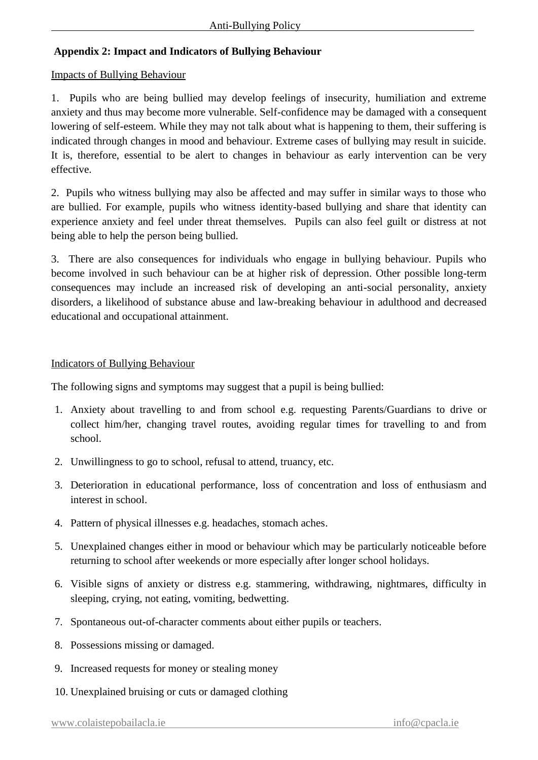## **Appendix 2: Impact and Indicators of Bullying Behaviour**

#### Impacts of Bullying Behaviour

1. Pupils who are being bullied may develop feelings of insecurity, humiliation and extreme anxiety and thus may become more vulnerable. Self-confidence may be damaged with a consequent lowering of self-esteem. While they may not talk about what is happening to them, their suffering is indicated through changes in mood and behaviour. Extreme cases of bullying may result in suicide. It is, therefore, essential to be alert to changes in behaviour as early intervention can be very effective.

2. Pupils who witness bullying may also be affected and may suffer in similar ways to those who are bullied. For example, pupils who witness identity-based bullying and share that identity can experience anxiety and feel under threat themselves. Pupils can also feel guilt or distress at not being able to help the person being bullied.

3. There are also consequences for individuals who engage in bullying behaviour. Pupils who become involved in such behaviour can be at higher risk of depression. Other possible long-term consequences may include an increased risk of developing an anti-social personality, anxiety disorders, a likelihood of substance abuse and law-breaking behaviour in adulthood and decreased educational and occupational attainment.

### Indicators of Bullying Behaviour

The following signs and symptoms may suggest that a pupil is being bullied:

- 1. Anxiety about travelling to and from school e.g. requesting Parents/Guardians to drive or collect him/her, changing travel routes, avoiding regular times for travelling to and from school.
- 2. Unwillingness to go to school, refusal to attend, truancy, etc.
- 3. Deterioration in educational performance, loss of concentration and loss of enthusiasm and interest in school.
- 4. Pattern of physical illnesses e.g. headaches, stomach aches.
- 5. Unexplained changes either in mood or behaviour which may be particularly noticeable before returning to school after weekends or more especially after longer school holidays.
- 6. Visible signs of anxiety or distress e.g. stammering, withdrawing, nightmares, difficulty in sleeping, crying, not eating, vomiting, bedwetting.
- 7. Spontaneous out-of-character comments about either pupils or teachers.
- 8. Possessions missing or damaged.
- 9. Increased requests for money or stealing money
- 10. Unexplained bruising or cuts or damaged clothing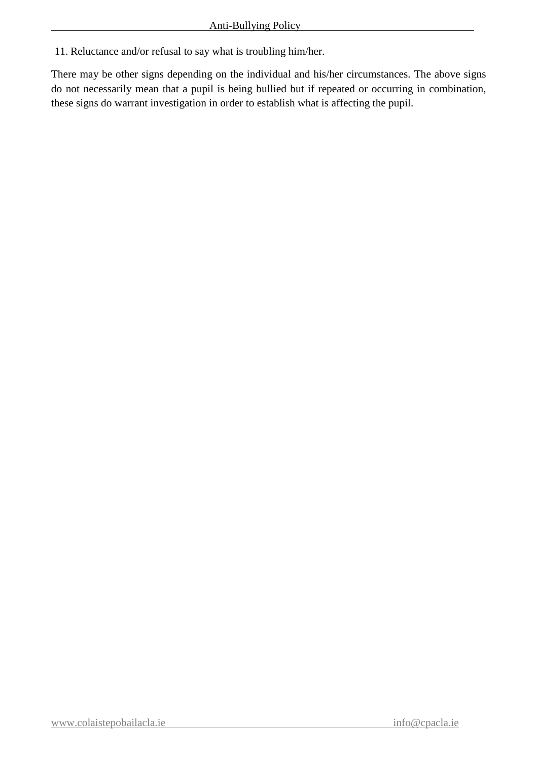11. Reluctance and/or refusal to say what is troubling him/her.

There may be other signs depending on the individual and his/her circumstances. The above signs do not necessarily mean that a pupil is being bullied but if repeated or occurring in combination, these signs do warrant investigation in order to establish what is affecting the pupil.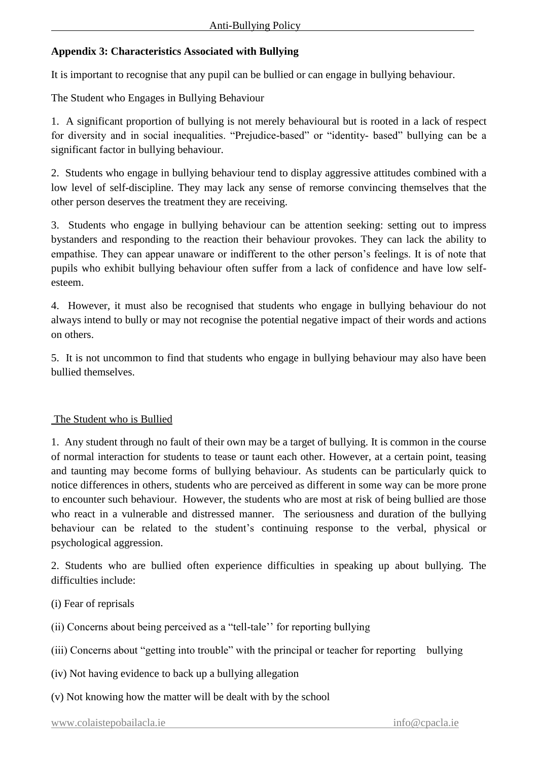## **Appendix 3: Characteristics Associated with Bullying**

It is important to recognise that any pupil can be bullied or can engage in bullying behaviour.

The Student who Engages in Bullying Behaviour

1. A significant proportion of bullying is not merely behavioural but is rooted in a lack of respect for diversity and in social inequalities. "Prejudice-based" or "identity- based" bullying can be a significant factor in bullying behaviour.

2. Students who engage in bullying behaviour tend to display aggressive attitudes combined with a low level of self-discipline. They may lack any sense of remorse convincing themselves that the other person deserves the treatment they are receiving.

3. Students who engage in bullying behaviour can be attention seeking: setting out to impress bystanders and responding to the reaction their behaviour provokes. They can lack the ability to empathise. They can appear unaware or indifferent to the other person's feelings. It is of note that pupils who exhibit bullying behaviour often suffer from a lack of confidence and have low selfesteem.

4. However, it must also be recognised that students who engage in bullying behaviour do not always intend to bully or may not recognise the potential negative impact of their words and actions on others.

5. It is not uncommon to find that students who engage in bullying behaviour may also have been bullied themselves.

## The Student who is Bullied

1. Any student through no fault of their own may be a target of bullying. It is common in the course of normal interaction for students to tease or taunt each other. However, at a certain point, teasing and taunting may become forms of bullying behaviour. As students can be particularly quick to notice differences in others, students who are perceived as different in some way can be more prone to encounter such behaviour. However, the students who are most at risk of being bullied are those who react in a vulnerable and distressed manner. The seriousness and duration of the bullying behaviour can be related to the student's continuing response to the verbal, physical or psychological aggression.

2. Students who are bullied often experience difficulties in speaking up about bullying. The difficulties include:

(i) Fear of reprisals

(ii) Concerns about being perceived as a "tell-tale'' for reporting bullying

(iii) Concerns about "getting into trouble" with the principal or teacher for reporting bullying

(iv) Not having evidence to back up a bullying allegation

(v) Not knowing how the matter will be dealt with by the school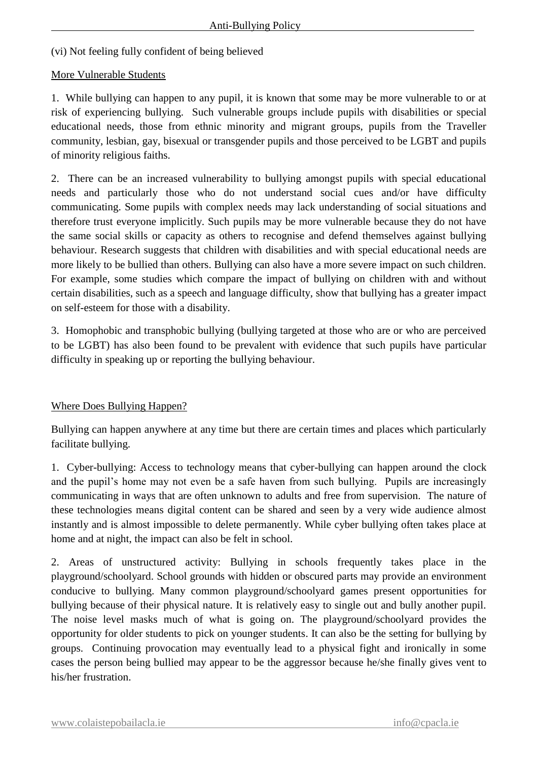(vi) Not feeling fully confident of being believed

#### More Vulnerable Students

1. While bullying can happen to any pupil, it is known that some may be more vulnerable to or at risk of experiencing bullying. Such vulnerable groups include pupils with disabilities or special educational needs, those from ethnic minority and migrant groups, pupils from the Traveller community, lesbian, gay, bisexual or transgender pupils and those perceived to be LGBT and pupils of minority religious faiths.

2. There can be an increased vulnerability to bullying amongst pupils with special educational needs and particularly those who do not understand social cues and/or have difficulty communicating. Some pupils with complex needs may lack understanding of social situations and therefore trust everyone implicitly. Such pupils may be more vulnerable because they do not have the same social skills or capacity as others to recognise and defend themselves against bullying behaviour. Research suggests that children with disabilities and with special educational needs are more likely to be bullied than others. Bullying can also have a more severe impact on such children. For example, some studies which compare the impact of bullying on children with and without certain disabilities, such as a speech and language difficulty, show that bullying has a greater impact on self-esteem for those with a disability.

3. Homophobic and transphobic bullying (bullying targeted at those who are or who are perceived to be LGBT) has also been found to be prevalent with evidence that such pupils have particular difficulty in speaking up or reporting the bullying behaviour.

#### Where Does Bullying Happen?

Bullying can happen anywhere at any time but there are certain times and places which particularly facilitate bullying.

1. Cyber-bullying: Access to technology means that cyber-bullying can happen around the clock and the pupil's home may not even be a safe haven from such bullying. Pupils are increasingly communicating in ways that are often unknown to adults and free from supervision. The nature of these technologies means digital content can be shared and seen by a very wide audience almost instantly and is almost impossible to delete permanently. While cyber bullying often takes place at home and at night, the impact can also be felt in school.

2. Areas of unstructured activity: Bullying in schools frequently takes place in the playground/schoolyard. School grounds with hidden or obscured parts may provide an environment conducive to bullying. Many common playground/schoolyard games present opportunities for bullying because of their physical nature. It is relatively easy to single out and bully another pupil. The noise level masks much of what is going on. The playground/schoolyard provides the opportunity for older students to pick on younger students. It can also be the setting for bullying by groups. Continuing provocation may eventually lead to a physical fight and ironically in some cases the person being bullied may appear to be the aggressor because he/she finally gives vent to his/her frustration.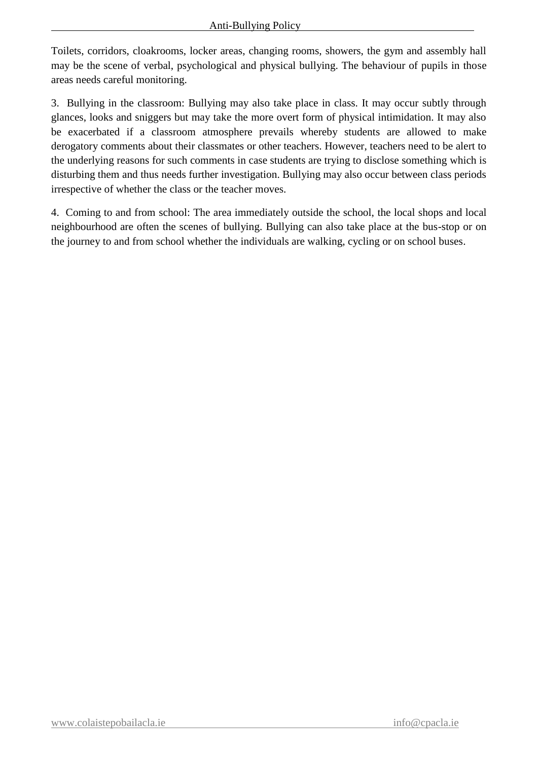Toilets, corridors, cloakrooms, locker areas, changing rooms, showers, the gym and assembly hall may be the scene of verbal, psychological and physical bullying. The behaviour of pupils in those areas needs careful monitoring.

3. Bullying in the classroom: Bullying may also take place in class. It may occur subtly through glances, looks and sniggers but may take the more overt form of physical intimidation. It may also be exacerbated if a classroom atmosphere prevails whereby students are allowed to make derogatory comments about their classmates or other teachers. However, teachers need to be alert to the underlying reasons for such comments in case students are trying to disclose something which is disturbing them and thus needs further investigation. Bullying may also occur between class periods irrespective of whether the class or the teacher moves.

4. Coming to and from school: The area immediately outside the school, the local shops and local neighbourhood are often the scenes of bullying. Bullying can also take place at the bus-stop or on the journey to and from school whether the individuals are walking, cycling or on school buses.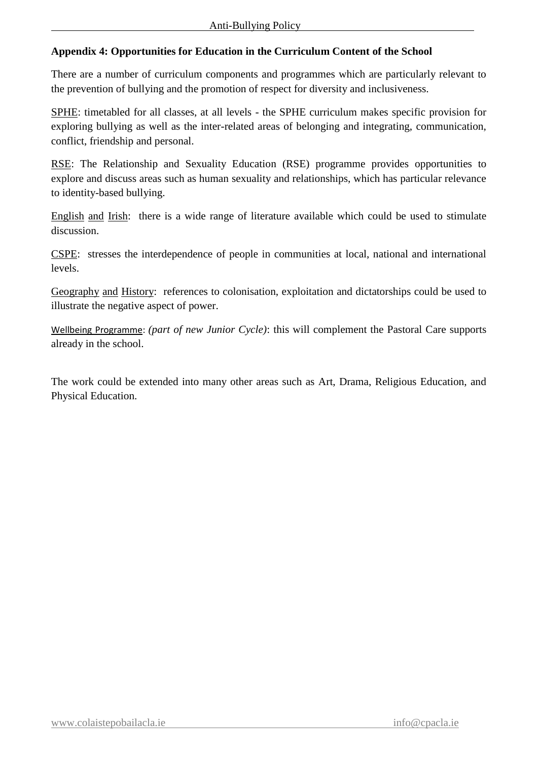## **Appendix 4: Opportunities for Education in the Curriculum Content of the School**

There are a number of curriculum components and programmes which are particularly relevant to the prevention of bullying and the promotion of respect for diversity and inclusiveness.

SPHE: timetabled for all classes, at all levels - the SPHE curriculum makes specific provision for exploring bullying as well as the inter-related areas of belonging and integrating, communication, conflict, friendship and personal.

RSE: The Relationship and Sexuality Education (RSE) programme provides opportunities to explore and discuss areas such as human sexuality and relationships, which has particular relevance to identity-based bullying.

English and Irish: there is a wide range of literature available which could be used to stimulate discussion.

CSPE: stresses the interdependence of people in communities at local, national and international levels.

Geography and History: references to colonisation, exploitation and dictatorships could be used to illustrate the negative aspect of power.

Wellbeing Programme: *(part of new Junior Cycle)*: this will complement the Pastoral Care supports already in the school.

The work could be extended into many other areas such as Art, Drama, Religious Education, and Physical Education.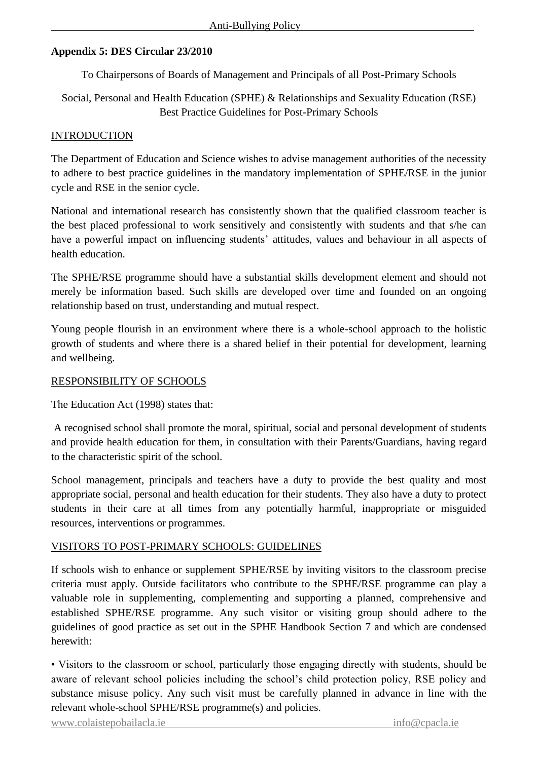## **Appendix 5: DES Circular 23/2010**

To Chairpersons of Boards of Management and Principals of all Post-Primary Schools

Social, Personal and Health Education (SPHE) & Relationships and Sexuality Education (RSE) Best Practice Guidelines for Post-Primary Schools

#### INTRODUCTION

The Department of Education and Science wishes to advise management authorities of the necessity to adhere to best practice guidelines in the mandatory implementation of SPHE/RSE in the junior cycle and RSE in the senior cycle.

National and international research has consistently shown that the qualified classroom teacher is the best placed professional to work sensitively and consistently with students and that s/he can have a powerful impact on influencing students' attitudes, values and behaviour in all aspects of health education.

The SPHE/RSE programme should have a substantial skills development element and should not merely be information based. Such skills are developed over time and founded on an ongoing relationship based on trust, understanding and mutual respect.

Young people flourish in an environment where there is a whole-school approach to the holistic growth of students and where there is a shared belief in their potential for development, learning and wellbeing.

#### RESPONSIBILITY OF SCHOOLS

The Education Act (1998) states that:

A recognised school shall promote the moral, spiritual, social and personal development of students and provide health education for them, in consultation with their Parents/Guardians, having regard to the characteristic spirit of the school.

School management, principals and teachers have a duty to provide the best quality and most appropriate social, personal and health education for their students. They also have a duty to protect students in their care at all times from any potentially harmful, inappropriate or misguided resources, interventions or programmes.

#### VISITORS TO POST-PRIMARY SCHOOLS: GUIDELINES

If schools wish to enhance or supplement SPHE/RSE by inviting visitors to the classroom precise criteria must apply. Outside facilitators who contribute to the SPHE/RSE programme can play a valuable role in supplementing, complementing and supporting a planned, comprehensive and established SPHE/RSE programme. Any such visitor or visiting group should adhere to the guidelines of good practice as set out in the SPHE Handbook Section 7 and which are condensed herewith:

• Visitors to the classroom or school, particularly those engaging directly with students, should be aware of relevant school policies including the school's child protection policy, RSE policy and substance misuse policy. Any such visit must be carefully planned in advance in line with the relevant whole-school SPHE/RSE programme(s) and policies.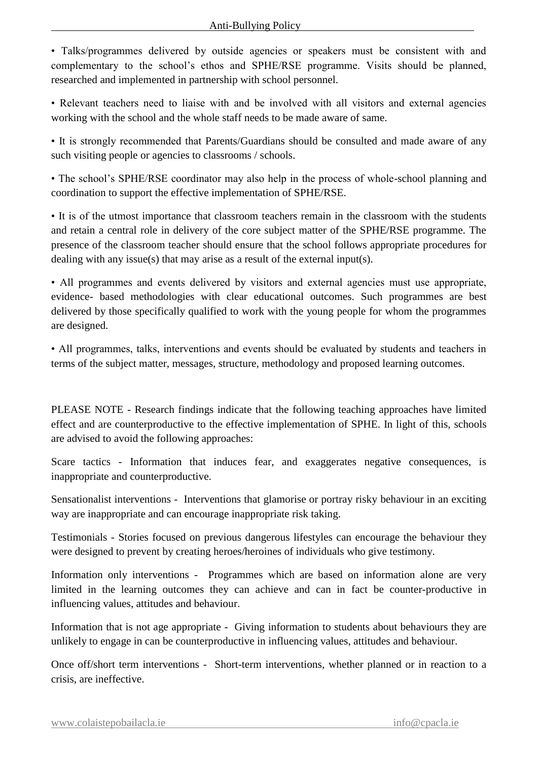• Talks/programmes delivered by outside agencies or speakers must be consistent with and complementary to the school's ethos and SPHE/RSE programme. Visits should be planned, researched and implemented in partnership with school personnel.

• Relevant teachers need to liaise with and be involved with all visitors and external agencies working with the school and the whole staff needs to be made aware of same.

• It is strongly recommended that Parents/Guardians should be consulted and made aware of any such visiting people or agencies to classrooms / schools.

• The school's SPHE/RSE coordinator may also help in the process of whole-school planning and coordination to support the effective implementation of SPHE/RSE.

• It is of the utmost importance that classroom teachers remain in the classroom with the students and retain a central role in delivery of the core subject matter of the SPHE/RSE programme. The presence of the classroom teacher should ensure that the school follows appropriate procedures for dealing with any issue(s) that may arise as a result of the external input(s).

• All programmes and events delivered by visitors and external agencies must use appropriate, evidence- based methodologies with clear educational outcomes. Such programmes are best delivered by those specifically qualified to work with the young people for whom the programmes are designed.

• All programmes, talks, interventions and events should be evaluated by students and teachers in terms of the subject matter, messages, structure, methodology and proposed learning outcomes.

PLEASE NOTE - Research findings indicate that the following teaching approaches have limited effect and are counterproductive to the effective implementation of SPHE. In light of this, schools are advised to avoid the following approaches:

Scare tactics - Information that induces fear, and exaggerates negative consequences, is inappropriate and counterproductive.

Sensationalist interventions - Interventions that glamorise or portray risky behaviour in an exciting way are inappropriate and can encourage inappropriate risk taking.

Testimonials - Stories focused on previous dangerous lifestyles can encourage the behaviour they were designed to prevent by creating heroes/heroines of individuals who give testimony.

Information only interventions - Programmes which are based on information alone are very limited in the learning outcomes they can achieve and can in fact be counter-productive in influencing values, attitudes and behaviour.

Information that is not age appropriate - Giving information to students about behaviours they are unlikely to engage in can be counterproductive in influencing values, attitudes and behaviour.

Once off/short term interventions - Short-term interventions, whether planned or in reaction to a crisis, are ineffective.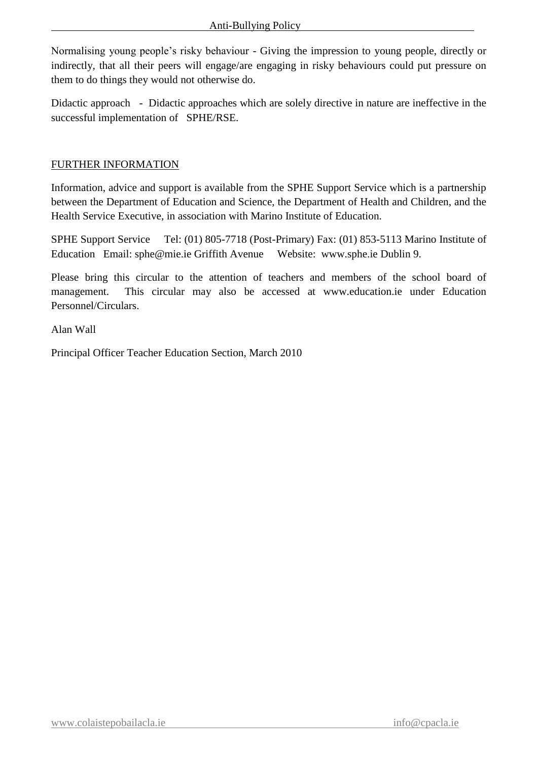Normalising young people's risky behaviour - Giving the impression to young people, directly or indirectly, that all their peers will engage/are engaging in risky behaviours could put pressure on them to do things they would not otherwise do.

Didactic approach - Didactic approaches which are solely directive in nature are ineffective in the successful implementation of SPHE/RSE.

#### FURTHER INFORMATION

Information, advice and support is available from the SPHE Support Service which is a partnership between the Department of Education and Science, the Department of Health and Children, and the Health Service Executive, in association with Marino Institute of Education.

SPHE Support Service Tel: (01) 805-7718 (Post-Primary) Fax: (01) 853-5113 Marino Institute of Education Email: sphe@mie.ie Griffith Avenue Website: www.sphe.ie Dublin 9.

Please bring this circular to the attention of teachers and members of the school board of management. This circular may also be accessed at www.education.ie under Education Personnel/Circulars.

Alan Wall

Principal Officer Teacher Education Section, March 2010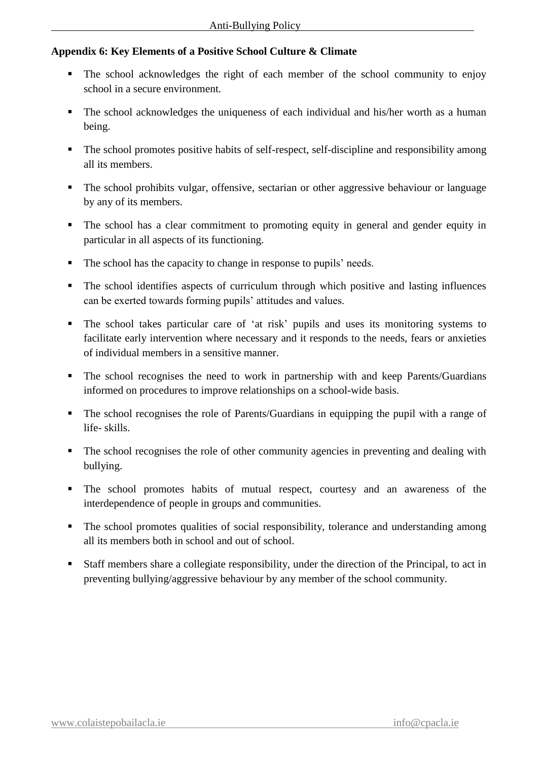## **Appendix 6: Key Elements of a Positive School Culture & Climate**

- The school acknowledges the right of each member of the school community to enjoy school in a secure environment.
- The school acknowledges the uniqueness of each individual and his/her worth as a human being.
- The school promotes positive habits of self-respect, self-discipline and responsibility among all its members.
- The school prohibits vulgar, offensive, sectarian or other aggressive behaviour or language by any of its members.
- The school has a clear commitment to promoting equity in general and gender equity in particular in all aspects of its functioning.
- The school has the capacity to change in response to pupils' needs.
- The school identifies aspects of curriculum through which positive and lasting influences can be exerted towards forming pupils' attitudes and values.
- The school takes particular care of 'at risk' pupils and uses its monitoring systems to facilitate early intervention where necessary and it responds to the needs, fears or anxieties of individual members in a sensitive manner.
- The school recognises the need to work in partnership with and keep Parents/Guardians informed on procedures to improve relationships on a school-wide basis.
- The school recognises the role of Parents/Guardians in equipping the pupil with a range of life- skills.
- The school recognises the role of other community agencies in preventing and dealing with bullying.
- The school promotes habits of mutual respect, courtesy and an awareness of the interdependence of people in groups and communities.
- The school promotes qualities of social responsibility, tolerance and understanding among all its members both in school and out of school.
- Staff members share a collegiate responsibility, under the direction of the Principal, to act in preventing bullying/aggressive behaviour by any member of the school community.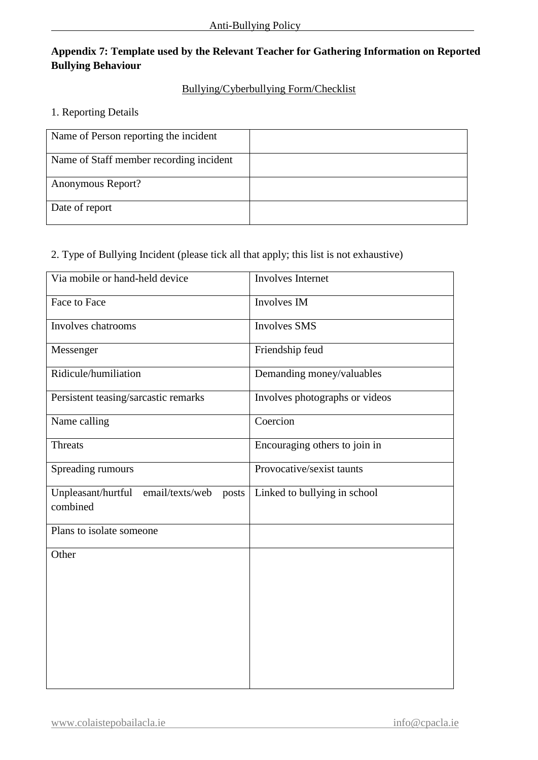## **Appendix 7: Template used by the Relevant Teacher for Gathering Information on Reported Bullying Behaviour**

## Bullying/Cyberbullying Form/Checklist

#### 1. Reporting Details

| Name of Person reporting the incident   |  |
|-----------------------------------------|--|
| Name of Staff member recording incident |  |
| Anonymous Report?                       |  |
| Date of report                          |  |

## 2. Type of Bullying Incident (please tick all that apply; this list is not exhaustive)

| <b>Involves</b> Internet       |  |  |
|--------------------------------|--|--|
| Involves IM                    |  |  |
| <b>Involves SMS</b>            |  |  |
| Friendship feud                |  |  |
| Demanding money/valuables      |  |  |
| Involves photographs or videos |  |  |
| Coercion                       |  |  |
| Encouraging others to join in  |  |  |
| Provocative/sexist taunts      |  |  |
| Linked to bullying in school   |  |  |
|                                |  |  |
|                                |  |  |
|                                |  |  |
|                                |  |  |
|                                |  |  |
|                                |  |  |
|                                |  |  |
|                                |  |  |
|                                |  |  |
|                                |  |  |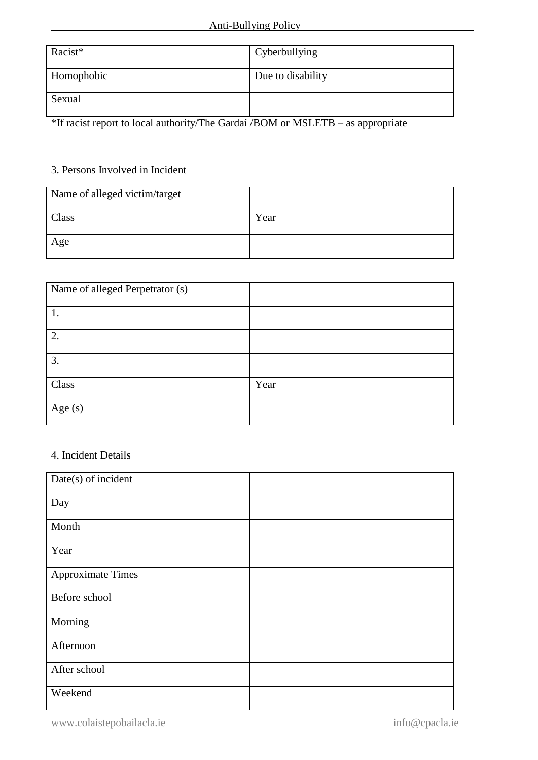| Racist*    | Cyberbullying     |
|------------|-------------------|
| Homophobic | Due to disability |
| Sexual     |                   |

\*If racist report to local authority/The Gardaí /BOM or MSLETB – as appropriate

## 3. Persons Involved in Incident

| Name of alleged victim/target |      |
|-------------------------------|------|
| Class                         | Year |
| Age                           |      |

| Name of alleged Perpetrator (s) |      |
|---------------------------------|------|
| 1.                              |      |
| 2.                              |      |
| 3.                              |      |
| Class                           | Year |
| Age $(s)$                       |      |

#### 4. Incident Details

| Date(s) of incident      |  |
|--------------------------|--|
| Day                      |  |
| Month                    |  |
| Year                     |  |
| <b>Approximate Times</b> |  |
| Before school            |  |
| Morning                  |  |
| Afternoon                |  |
| After school             |  |
| Weekend                  |  |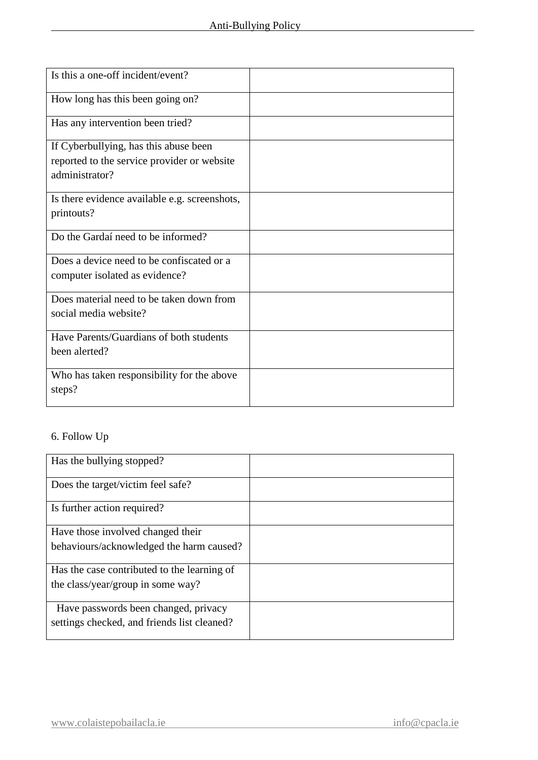| Is this a one-off incident/event?             |  |
|-----------------------------------------------|--|
| How long has this been going on?              |  |
| Has any intervention been tried?              |  |
| If Cyberbullying, has this abuse been         |  |
| reported to the service provider or website   |  |
| administrator?                                |  |
| Is there evidence available e.g. screenshots, |  |
| printouts?                                    |  |
| Do the Gardaí need to be informed?            |  |
| Does a device need to be confiscated or a     |  |
| computer isolated as evidence?                |  |
| Does material need to be taken down from      |  |
| social media website?                         |  |
| Have Parents/Guardians of both students       |  |
| been alerted?                                 |  |
| Who has taken responsibility for the above    |  |
| steps?                                        |  |
|                                               |  |

## 6. Follow Up

| Has the bullying stopped?                   |  |
|---------------------------------------------|--|
| Does the target/victim feel safe?           |  |
| Is further action required?                 |  |
| Have those involved changed their           |  |
| behaviours/acknowledged the harm caused?    |  |
| Has the case contributed to the learning of |  |
| the class/year/group in some way?           |  |
| Have passwords been changed, privacy        |  |
| settings checked, and friends list cleaned? |  |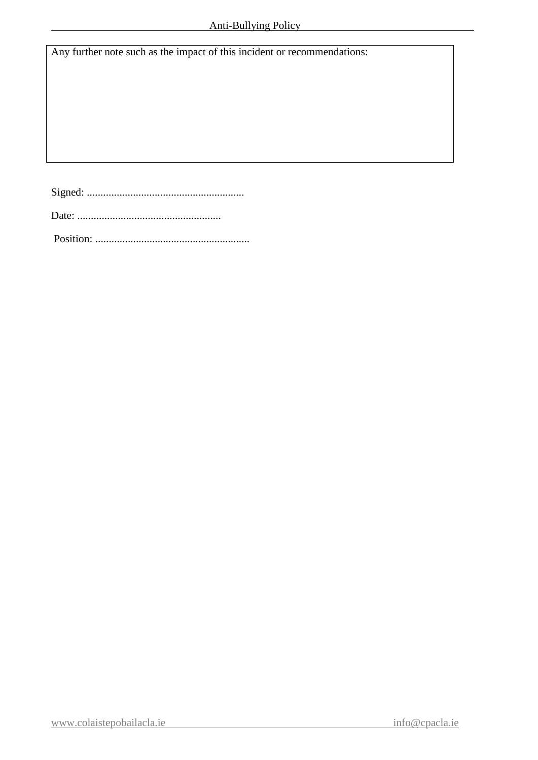Any further note such as the impact of this incident or recommendations:

Signed: ..........................................................

Date: .....................................................

Position: .........................................................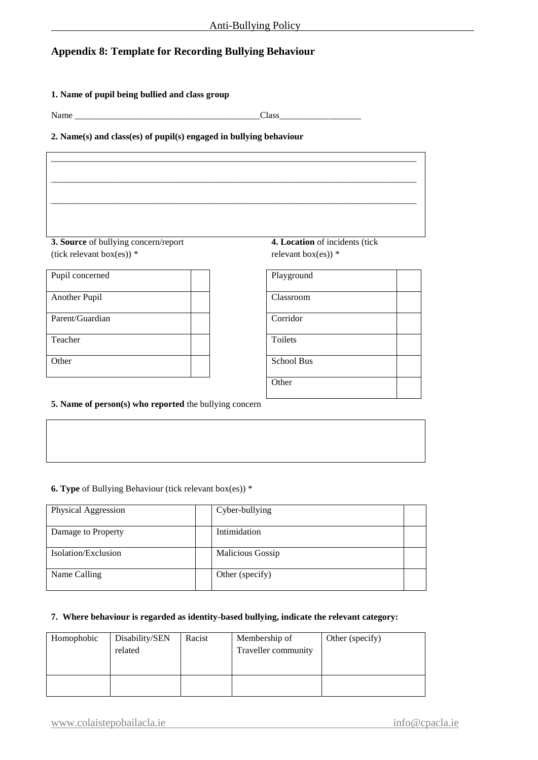## **Appendix 8: Template for Recording Bullying Behaviour**

#### **1. Name of pupil being bullied and class group**

Name Class

#### **2. Name(s) and class(es) of pupil(s) engaged in bullying behaviour**

| 3. Source of bullying concern/report | 4. Location of incidents (tick |  |
|--------------------------------------|--------------------------------|--|
| (tick relevant box(es)) $*$          | relevant box(es)) $*$          |  |
| Pupil concerned                      | Playground                     |  |
| Another Pupil                        | Classroom                      |  |
| Parent/Guardian                      | Corridor                       |  |
| Teacher                              | Toilets                        |  |
| Other                                | School Bus                     |  |
|                                      | Other                          |  |
|                                      |                                |  |

#### **5. Name of person(s) who reported** the bullying concern

#### **6. Type** of Bullying Behaviour (tick relevant box(es)) \*

| Physical Aggression | Cyber-bullying   |  |
|---------------------|------------------|--|
| Damage to Property  | Intimidation     |  |
| Isolation/Exclusion | Malicious Gossip |  |
| Name Calling        | Other (specify)  |  |

#### **7. Where behaviour is regarded as identity-based bullying, indicate the relevant category:**

| Homophobic | Disability/SEN<br>related | Racist | Membership of<br>Traveller community | Other (specify) |
|------------|---------------------------|--------|--------------------------------------|-----------------|
|            |                           |        |                                      |                 |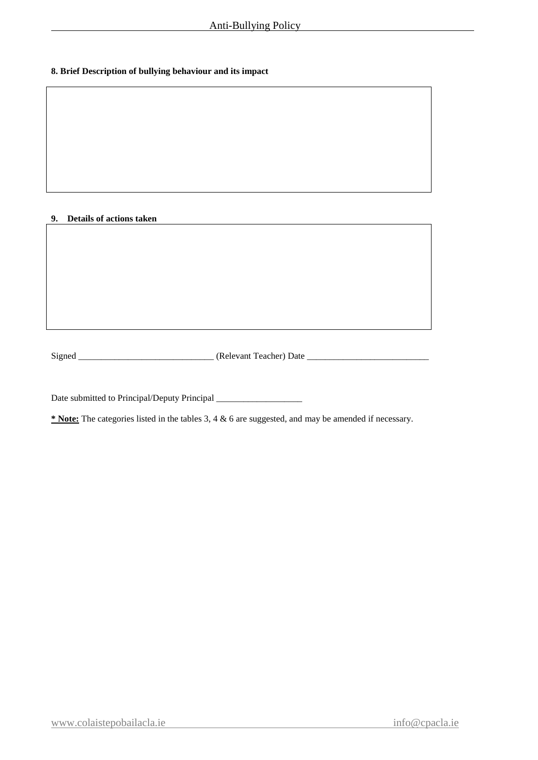#### **8. Brief Description of bullying behaviour and its impact**

#### **9. Details of actions taken**

Signed \_\_\_\_\_\_\_\_\_\_\_\_\_\_\_\_\_\_\_\_\_\_\_\_\_\_\_\_\_\_ (Relevant Teacher) Date \_\_\_\_\_\_\_\_\_\_\_\_\_\_\_\_\_\_\_\_\_\_\_\_\_\_\_

Date submitted to Principal/Deputy Principal \_\_\_\_\_\_\_\_\_\_\_\_\_\_\_\_\_\_\_

**\* Note:** The categories listed in the tables 3, 4 & 6 are suggested, and may be amended if necessary.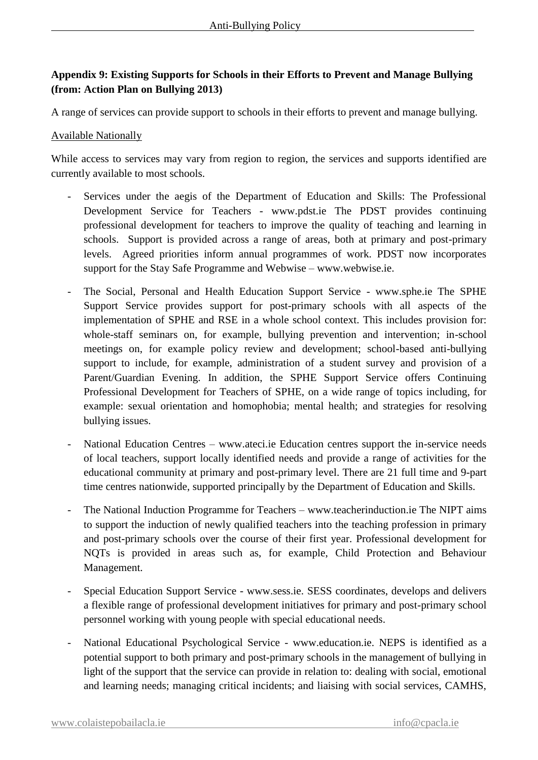## **Appendix 9: Existing Supports for Schools in their Efforts to Prevent and Manage Bullying (from: Action Plan on Bullying 2013)**

A range of services can provide support to schools in their efforts to prevent and manage bullying.

#### Available Nationally

While access to services may vary from region to region, the services and supports identified are currently available to most schools.

- Services under the aegis of the Department of Education and Skills: The Professional Development Service for Teachers - www.pdst.ie The PDST provides continuing professional development for teachers to improve the quality of teaching and learning in schools. Support is provided across a range of areas, both at primary and post-primary levels. Agreed priorities inform annual programmes of work. PDST now incorporates support for the Stay Safe Programme and Webwise – www.webwise.ie.
- The Social, Personal and Health Education Support Service www.sphe.ie The SPHE Support Service provides support for post-primary schools with all aspects of the implementation of SPHE and RSE in a whole school context. This includes provision for: whole-staff seminars on, for example, bullying prevention and intervention; in-school meetings on, for example policy review and development; school-based anti-bullying support to include, for example, administration of a student survey and provision of a Parent/Guardian Evening. In addition, the SPHE Support Service offers Continuing Professional Development for Teachers of SPHE, on a wide range of topics including, for example: sexual orientation and homophobia; mental health; and strategies for resolving bullying issues.
- National Education Centres www.ateci.ie Education centres support the in-service needs of local teachers, support locally identified needs and provide a range of activities for the educational community at primary and post-primary level. There are 21 full time and 9-part time centres nationwide, supported principally by the Department of Education and Skills.
- The National Induction Programme for Teachers www.teacherinduction.ie The NIPT aims to support the induction of newly qualified teachers into the teaching profession in primary and post-primary schools over the course of their first year. Professional development for NQTs is provided in areas such as, for example, Child Protection and Behaviour Management.
- Special Education Support Service www.sess.ie. SESS coordinates, develops and delivers a flexible range of professional development initiatives for primary and post-primary school personnel working with young people with special educational needs.
- National Educational Psychological Service www.education.ie. NEPS is identified as a potential support to both primary and post-primary schools in the management of bullying in light of the support that the service can provide in relation to: dealing with social, emotional and learning needs; managing critical incidents; and liaising with social services, CAMHS,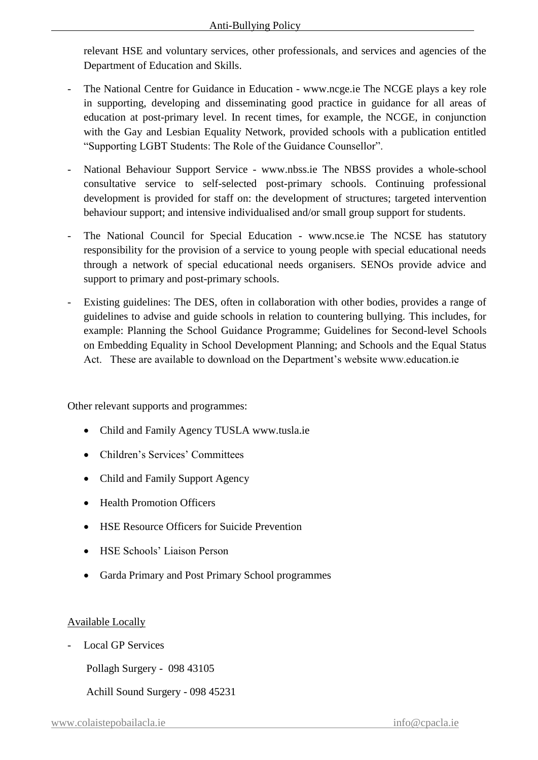relevant HSE and voluntary services, other professionals, and services and agencies of the Department of Education and Skills.

- The National Centre for Guidance in Education www.ncge.ie The NCGE plays a key role in supporting, developing and disseminating good practice in guidance for all areas of education at post-primary level. In recent times, for example, the NCGE, in conjunction with the Gay and Lesbian Equality Network, provided schools with a publication entitled "Supporting LGBT Students: The Role of the Guidance Counsellor".
- National Behaviour Support Service www.nbss.ie The NBSS provides a whole-school consultative service to self-selected post-primary schools. Continuing professional development is provided for staff on: the development of structures; targeted intervention behaviour support; and intensive individualised and/or small group support for students.
- The National Council for Special Education www.ncse.ie The NCSE has statutory responsibility for the provision of a service to young people with special educational needs through a network of special educational needs organisers. SENOs provide advice and support to primary and post-primary schools.
- Existing guidelines: The DES, often in collaboration with other bodies, provides a range of guidelines to advise and guide schools in relation to countering bullying. This includes, for example: Planning the School Guidance Programme; Guidelines for Second-level Schools on Embedding Equality in School Development Planning; and Schools and the Equal Status Act. These are available to download on the Department's website www.education.ie

Other relevant supports and programmes:

- Child and Family Agency TUSLA www.tusla.ie
- Children's Services' Committees
- Child and Family Support Agency
- Health Promotion Officers
- HSE Resource Officers for Suicide Prevention
- HSE Schools' Liaison Person
- Garda Primary and Post Primary School programmes

#### Available Locally

- Local GP Services

Pollagh Surgery - 098 43105

Achill Sound Surgery - 098 45231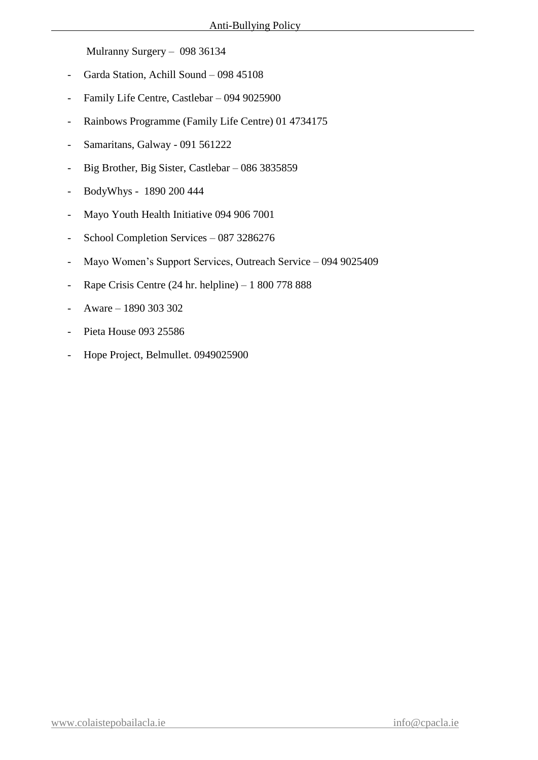Mulranny Surgery – 098 36134

- Garda Station, Achill Sound 098 45108
- Family Life Centre, Castlebar 094 9025900
- Rainbows Programme (Family Life Centre) 01 4734175
- Samaritans, Galway 091 561222
- Big Brother, Big Sister, Castlebar 086 3835859
- BodyWhys 1890 200 444
- Mayo Youth Health Initiative 094 906 7001
- School Completion Services 087 3286276
- Mayo Women's Support Services, Outreach Service 094 9025409
- Rape Crisis Centre (24 hr. helpline) 1 800 778 888
- Aware 1890 303 302
- Pieta House 093 25586
- Hope Project, Belmullet. 0949025900